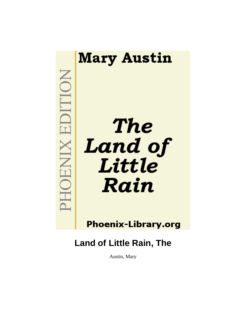

**Phoenix-Library.org** 

**Land of Little Rain, The**

Austin, Mary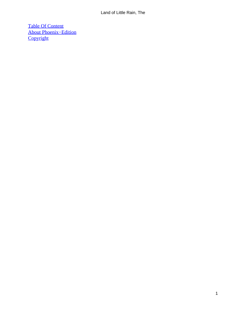[Table Of Content](#page-72-0) [About Phoenix−Edition](#page-73-0) **[Copyright](#page-76-0)**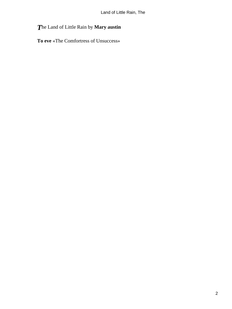# *T*he Land of Little Rain by **Mary austin**

**To eve** «The Comfortress of Unsuccess»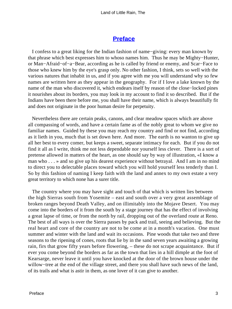## **[Preface](#page-72-0)**

 I confess to a great liking for the Indian fashion of name−giving: every man known by that phrase which best expresses him to whoso names him. Thus he may be Mighty−Hunter, or Man−Afraid−of−a−Bear, according as he is called by friend or enemy, and Scar−Face to those who knew him by the eye's grasp only. No other fashion, I think, sets so well with the various natures that inhabit in us, and if you agree with me you will understand why so few names are written here as they appear in the geography. For if I love a lake known by the name of the man who discovered it, which endears itself by reason of the close−locked pines it nourishes about its borders, you may look in my account to find it so described. But if the Indians have been there before me, you shall have their name, which is always beautifully fit and does not originate in the poor human desire for perpetuity.

 Nevertheless there are certain peaks, canons, and clear meadow spaces which are above all compassing of words, and have a certain fame as of the nobly great to whom we give no familiar names. Guided by these you may reach my country and find or not find, according as it lieth in you, much that is set down here. And more. The earth is no wanton to give up all her best to every comer, but keeps a sweet, separate intimacy for each. But if you do not find it all as I write, think me not less dependable nor yourself less clever. There is a sort of pretense allowed in matters of the heart, as one should say by way of illustration, «I know a man who . . . » and so give up his dearest experience without betrayal. And I am in no mind to direct you to delectable places toward which you will hold yourself less tenderly than I. So by this fashion of naming I keep faith with the land and annex to my own estate a very great territory to which none has a surer title.

 The country where you may have sight and touch of that which is written lies between the high Sierras south from Yosemite – east and south over a very great assemblage of broken ranges beyond Death Valley, and on illimitably into the Mojave Desert. You may come into the borders of it from the south by a stage journey that has the effect of involving a great lapse of time, or from the north by rail, dropping out of the overland route at Reno. The best of all ways is over the Sierra passes by pack and trail, seeing and believing. But the real heart and core of the country are not to be come at in a month's vacation. One must summer and winter with the land and wait its occasions. Pine woods that take two and three seasons to the ripening of cones, roots that lie by in the sand seven years awaiting a growing rain, firs that grow fifty years before flowering, – these do not scrape acquaintance. But if ever you come beyond the borders as far as the town that lies in a hill dimple at the foot of Kearsarge, never leave it until you have knocked at the door of the brown house under the willow−tree at the end of the village street, and there you shall have such news of the land, of its trails and what is astir in them, as one lover of it can give to another.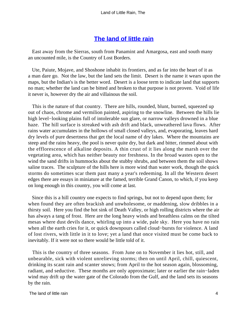## **[The land of little rain](#page-72-0)**

 East away from the Sierras, south from Panamint and Amargosa, east and south many an uncounted mile, is the Country of Lost Borders.

 Ute, Paiute, Mojave, and Shoshone inhabit its frontiers, and as far into the heart of it as a man dare go. Not the law, but the land sets the limit. Desert is the name it wears upon the maps, but the Indian's is the better word. Desert is a loose term to indicate land that supports no man; whether the land can be bitted and broken to that purpose is not proven. Void of life it never is, however dry the air and villainous the soil.

 This is the nature of that country. There are hills, rounded, blunt, burned, squeezed up out of chaos, chrome and vermilion painted, aspiring to the snowline. Between the hills lie high level−looking plains full of intolerable sun glare, or narrow valleys drowned in a blue haze. The hill surface is streaked with ash drift and black, unweathered lava flows. After rains water accumulates in the hollows of small closed valleys, and, evaporating, leaves hard dry levels of pure desertness that get the local name of dry lakes. Where the mountains are steep and the rains heavy, the pool is never quite dry, but dark and bitter, rimmed about with the efflorescence of alkaline deposits. A thin crust of it lies along the marsh over the vegetating area, which has neither beauty nor freshness. In the broad wastes open to the wind the sand drifts in hummocks about the stubby shrubs, and between them the soil shows saline traces. The sculpture of the hills here is more wind than water work, though the quick storms do sometimes scar them past many a year's redeeming. In all the Western desert edges there are essays in miniature at the famed, terrible Grand Canon, to which, if you keep on long enough in this country, you will come at last.

 Since this is a hill country one expects to find springs, but not to depend upon them; for when found they are often brackish and unwholesome, or maddening, slow dribbles in a thirsty soil. Here you find the hot sink of Death Valley, or high rolling districts where the air has always a tang of frost. Here are the long heavy winds and breathless calms on the tilted mesas where dust devils dance, whirling up into a wide, pale sky. Here you have no rain when all the earth cries for it, or quick downpours called cloud−bursts for violence. A land of lost rivers, with little in it to love; yet a land that once visited must be come back to inevitably. If it were not so there would be little told of it.

 This is the country of three seasons. From June on to November it lies hot, still, and unbearable, sick with violent unrelieving storms; then on until April, chill, quiescent, drinking its scant rain and scanter snows; from April to the hot season again, blossoming, radiant, and seductive. These months are only approximate; later or earlier the rain−laden wind may drift up the water gate of the Colorado from the Gulf, and the land sets its seasons by the rain.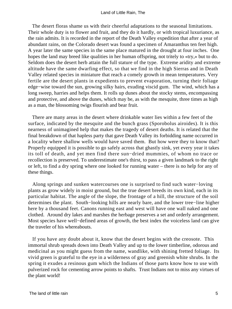The desert floras shame us with their cheerful adaptations to the seasonal limitations. Their whole duty is to flower and fruit, and they do it hardly, or with tropical luxuriance, as the rain admits. It is recorded in the report of the Death Valley expedition that after a year of abundant rains, on the Colorado desert was found a specimen of Amaranthus ten feet high. A year later the same species in the same place matured in the drought at four inches. One hopes the land may breed like qualities in her human offspring, not tritely to «try,» but to do. Seldom does the desert herb attain the full stature of the type. Extreme aridity and extreme altitude have the same dwarfing effect, so that we find in the high Sierras and in Death Valley related species in miniature that reach a comely growth in mean temperatures. Very fertile are the desert plants in expedients to prevent evaporation, turning their foliage edge−wise toward the sun, growing silky hairs, exuding viscid gum. The wind, which has a long sweep, harries and helps them. It rolls up dunes about the stocky stems, encompassing and protective, and above the dunes, which may be, as with the mesquite, three times as high as a man, the blossoming twigs flourish and bear fruit.

 There are many areas in the desert where drinkable water lies within a few feet of the surface, indicated by the mesquite and the bunch grass (Sporobolus airoides). It is this nearness of unimagined help that makes the tragedy of desert deaths. It is related that the final breakdown of that hapless party that gave Death Valley its forbidding name occurred in a locality where shallow wells would have saved them. But how were they to know that? Properly equipped it is possible to go safely across that ghastly sink, yet every year it takes its toll of death, and yet men find there sun−dried mummies, of whom no trace or recollection is preserved. To underestimate one's thirst, to pass a given landmark to the right or left, to find a dry spring where one looked for running water – there is no help for any of these things.

 Along springs and sunken watercourses one is surprised to find such water−loving plants as grow widely in moist ground, but the true desert breeds its own kind, each in its particular habitat. The angle of the slope, the frontage of a hill, the structure of the soil determines the plant. South−looking hills are nearly bare, and the lower tree−line higher here by a thousand feet. Canons running east and west will have one wall naked and one clothed. Around dry lakes and marshes the herbage preserves a set and orderly arrangement. Most species have well−defined areas of growth, the best index the voiceless land can give the traveler of his whereabouts.

 If you have any doubt about it, know that the desert begins with the creosote. This immortal shrub spreads down into Death Valley and up to the lower timberline, odorous and medicinal as you might guess from the name, wandlike, with shining fretted foliage. Its vivid green is grateful to the eye in a wilderness of gray and greenish white shrubs. In the spring it exudes a resinous gum which the Indians of those parts know how to use with pulverized rock for cementing arrow points to shafts. Trust Indians not to miss any virtues of the plant world!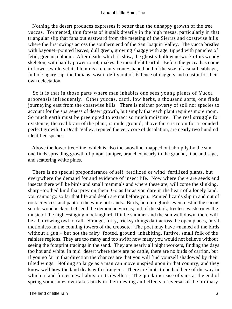Nothing the desert produces expresses it better than the unhappy growth of the tree yuccas. Tormented, thin forests of it stalk drearily in the high mesas, particularly in that triangular slip that fans out eastward from the meeting of the Sierras and coastwise hills where the first swings across the southern end of the San Joaquin Valley. The yucca bristles with bayonet−pointed leaves, dull green, growing shaggy with age, tipped with panicles of fetid, greenish bloom. After death, which is slow, the ghostly hollow network of its woody skeleton, with hardly power to rot, makes the moonlight fearful. Before the yucca has come to flower, while yet its bloom is a creamy cone−shaped bud of the size of a small cabbage, full of sugary sap, the Indians twist it deftly out of its fence of daggers and roast it for their own delectation.

 So it is that in those parts where man inhabits one sees young plants of Yucca arborensis infrequently. Other yuccas, cacti, low herbs, a thousand sorts, one finds journeying east from the coastwise hills. There is neither poverty of soil nor species to account for the sparseness of desert growth, but simply that each plant requires more room. So much earth must be preempted to extract so much moisture. The real struggle for existence, the real brain of the plant, is underground; above there is room for a rounded perfect growth. In Death Valley, reputed the very core of desolation, are nearly two hundred identified species.

 Above the lower tree−line, which is also the snowline, mapped out abruptly by the sun, one finds spreading growth of pinon, juniper, branched nearly to the ground, lilac and sage, and scattering white pines.

 There is no special preponderance of self−fertilized or wind−fertilized plants, but everywhere the demand for and evidence of insect life. Now where there are seeds and insects there will be birds and small mammals and where these are, will come the slinking, sharp−toothed kind that prey on them. Go as far as you dare in the heart of a lonely land, you cannot go so far that life and death are not before you. Painted lizards slip in and out of rock crevices, and pant on the white hot sands. Birds, hummingbirds even, nest in the cactus scrub; woodpeckers befriend the demoniac yuccas; out of the stark, treeless waste rings the music of the night−singing mockingbird. If it be summer and the sun well down, there will be a burrowing owl to call. Strange, furry, tricksy things dart across the open places, or sit motionless in the conning towers of the creosote. The poet may have «named all the birds without a gun,» but not the fairy−footed, ground−inhabiting, furtive, small folk of the rainless regions. They are too many and too swift; how many you would not believe without seeing the footprint tracings in the sand. They are nearly all night workers, finding the days too hot and white. In mid−desert where there are no cattle, there are no birds of carrion, but if you go far in that direction the chances are that you will find yourself shadowed by their tilted wings. Nothing so large as a man can move unspied upon in that country, and they know well how the land deals with strangers. There are hints to be had here of the way in which a land forces new habits on its dwellers. The quick increase of suns at the end of spring sometimes overtakes birds in their nesting and effects a reversal of the ordinary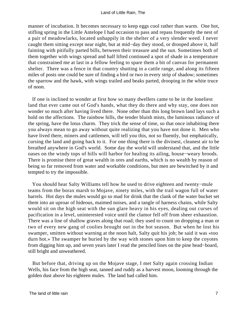manner of incubation. It becomes necessary to keep eggs cool rather than warm. One hot, stifling spring in the Little Antelope I had occasion to pass and repass frequently the nest of a pair of meadowlarks, located unhappily in the shelter of a very slender weed. I never caught them sitting except near night, but at mid−day they stood, or drooped above it, half fainting with pitifully parted bills, between their treasure and the sun. Sometimes both of them together with wings spread and half lifted continued a spot of shade in a temperature that constrained me at last in a fellow feeling to spare them a bit of canvas for permanent shelter. There was a fence in that country shutting in a cattle range, and along its fifteen miles of posts one could be sure of finding a bird or two in every strip of shadow; sometimes the sparrow and the hawk, with wings trailed and beaks parted, drooping in the white truce of noon.

 If one is inclined to wonder at first how so many dwellers came to be in the loneliest land that ever came out of God's hands, what they do there and why stay, one does not wonder so much after having lived there. None other than this long brown land lays such a hold on the affections. The rainbow hills, the tender bluish mists, the luminous radiance of the spring, have the lotus charm. They trick the sense of time, so that once inhabiting there you always mean to go away without quite realizing that you have not done it. Men who have lived there, miners and cattlemen, will tell you this, not so fluently, but emphatically, cursing the land and going back to it. For one thing there is the divinest, cleanest air to be breathed anywhere in God's world. Some day the world will understand that, and the little oases on the windy tops of hills will harbor for healing its ailing, house−weary broods. There is promise there of great wealth in ores and earths, which is no wealth by reason of being so far removed from water and workable conditions, but men are bewitched by it and tempted to try the impossible.

 You should hear Salty Williams tell how he used to drive eighteen and twenty−mule teams from the borax marsh to Mojave, ninety miles, with the trail wagon full of water barrels. Hot days the mules would go so mad for drink that the clank of the water bucket set them into an uproar of hideous, maimed noises, and a tangle of harness chains, while Salty would sit on the high seat with the sun glare heavy in his eyes, dealing out curses of pacification in a level, uninterested voice until the clamor fell off from sheer exhaustion. There was a line of shallow graves along that road; they used to count on dropping a man or two of every new gang of coolies brought out in the hot season. But when he lost his swamper, smitten without warning at the noon halt, Salty quit his job; he said it was «too durn hot.» The swamper he buried by the way with stones upon him to keep the coyotes from digging him up, and seven years later I read the penciled lines on the pine head−board, still bright and unweathered.

 But before that, driving up on the Mojave stage, I met Salty again crossing Indian Wells, his face from the high seat, tanned and ruddy as a harvest moon, looming through the golden dust above his eighteen mules. The land had called him.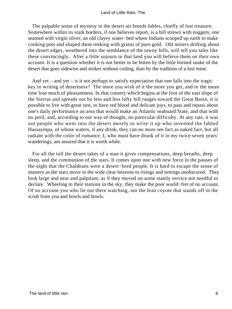The palpable sense of mystery in the desert air breeds fables, chiefly of lost treasure. Somewhere within its stark borders, if one believes report, is a hill strewn with nuggets; one seamed with virgin silver; an old clayey water−bed where Indians scooped up earth to make cooking pots and shaped them reeking with grains of pure gold. Old miners drifting about the desert edges, weathered into the semblance of the tawny hills, will tell you tales like these convincingly. After a little sojourn in that land you will believe them on their own account. It is a question whether it is not better to be bitten by the little horned snake of the desert that goes sidewise and strikes without coiling, than by the tradition of a lost mine.

 And yet – and yet – is it not perhaps to satisfy expectation that one falls into the tragic key in writing of desertness? The more you wish of it the more you get, and in the mean time lose much of pleasantness. In that country which begins at the foot of the east slope of the Sierras and spreads out by less and less lofty hill ranges toward the Great Basin, it is possible to live with great zest, to have red blood and delicate joys, to pass and repass about one's daily performance an area that would make an Atlantic seaboard State, and that with no peril, and, according to our way of thought, no particular difficulty. At any rate, it was not people who went into the desert merely to write it up who invented the fabled Hassaympa, of whose waters, if any drink, they can no more see fact as naked fact, but all radiant with the color of romance. I, who must have drunk of it in my twice seven years' wanderings, am assured that it is worth while.

 For all the toll the desert takes of a man it gives compensations, deep breaths, deep sleep, and the communion of the stars. It comes upon one with new force in the pauses of the night that the Chaldeans were a desert−bred people. It is hard to escape the sense of mastery as the stars move in the wide clear heavens to risings and settings unobscured. They look large and near and palpitant; as if they moved on some stately service not needful to declare. Wheeling to their stations in the sky, they make the poor world−fret of no account. Of no account you who lie out there watching, nor the lean coyote that stands off in the scrub from you and howls and howls.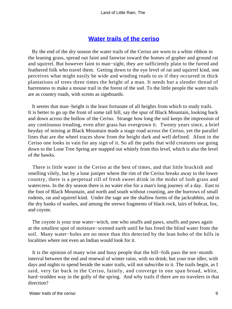## **[Water trails of the ceriso](#page-72-0)**

 By the end of the dry season the water trails of the Ceriso are worn to a white ribbon in the leaning grass, spread out faint and fanwise toward the homes of gopher and ground rat and squirrel. But however faint to man−sight, they are sufficiently plain to the furred and feathered folk who travel them. Getting down to the eye level of rat and squirrel kind, one perceives what might easily be wide and winding roads to us if they occurred in thick plantations of trees three times the height of a man. It needs but a slender thread of barrenness to make a mouse trail in the forest of the sod. To the little people the water trails are as country roads, with scents as signboards.

 It seems that man−height is the least fortunate of all heights from which to study trails. It is better to go up the front of some tall hill, say the spur of Black Mountain, looking back and down across the hollow of the Ceriso. Strange how long the soil keeps the impression of any continuous treading, even after grass has overgrown it. Twenty years since, a brief heyday of mining at Black Mountain made a stage road across the Ceriso, yet the parallel lines that are the wheel traces show from the height dark and well defined. Afoot in the Ceriso one looks in vain for any sign of it. So all the paths that wild creatures use going down to the Lone Tree Spring are mapped out whitely from this level, which is also the level of the hawks.

 There is little water in the Ceriso at the best of times, and that little brackish and smelling vilely, but by a lone juniper where the rim of the Ceriso breaks away to the lower country, there is a perpetual rill of fresh sweet drink in the midst of lush grass and watercress. In the dry season there is no water else for a man's long journey of a day. East to the foot of Black Mountain, and north and south without counting, are the burrows of small rodents, rat and squirrel kind. Under the sage are the shallow forms of the jackrabbits, and in the dry banks of washes, and among the strewn fragments of black rock, lairs of bobcat, fox, and coyote.

The coyote is your true water–witch, one who snuffs and paws, snuffs and paws again at the smallest spot of moisture−scented earth until he has freed the blind water from the soil. Many water−holes are no more than this detected by the lean hobo of the hills in localities where not even an Indian would look for it.

 It is the opinion of many wise and busy people that the hill−folk pass the ten−month interval between the end and renewal of winter rains, with no drink; but your true idler, with days and nights to spend beside the water trails, will not subscribe to it. The trails begin, as I said, very far back in the Ceriso, faintly, and converge in one span broad, white, hard−trodden way in the gully of the spring. And why trails if there are no travelers in that direction?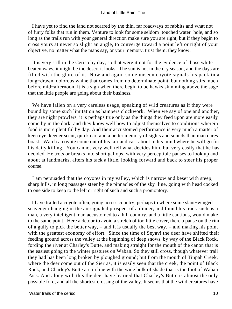I have yet to find the land not scarred by the thin, far roadways of rabbits and what not of furry folks that run in them. Venture to look for some seldom−touched water−hole, and so long as the trails run with your general direction make sure you are right, but if they begin to cross yours at never so slight an angle, to converge toward a point left or right of your objective, no matter what the maps say, or your memory, trust them; they know.

 It is very still in the Ceriso by day, so that were it not for the evidence of those white beaten ways, it might be the desert it looks. The sun is hot in the dry season, and the days are filled with the glare of it. Now and again some unseen coyote signals his pack in a long−drawn, dolorous whine that comes from no determinate point, but nothing stirs much before mid−afternoon. It is a sign when there begin to be hawks skimming above the sage that the little people are going about their business.

 We have fallen on a very careless usage, speaking of wild creatures as if they were bound by some such limitation as hampers clockwork. When we say of one and another, they are night prowlers, it is perhaps true only as the things they feed upon are more easily come by in the dark, and they know well how to adjust themselves to conditions wherein food is more plentiful by day. And their accustomed performance is very much a matter of keen eye, keener scent, quick ear, and a better memory of sights and sounds than man dares boast. Watch a coyote come out of his lair and cast about in his mind where be will go for his daily killing. You cannot very well tell what decides him, but very easily that he has decided. He trots or breaks into short gallops, with very perceptible pauses to look up and about at landmarks, alters his tack a little, looking forward and back to steer his proper course.

 I am persuaded that the coyotes in my valley, which is narrow and beset with steep, sharp hills, in long passages steer by the pinnacles of the sky−line, going with head cocked to one side to keep to the left or right of such and such a promontory.

 I have trailed a coyote often, going across country, perhaps to where some slant−winged scavenger hanging in the air signaled prospect of a dinner, and found his track such as a man, a very intelligent man accustomed to a hill country, and a little cautious, would make to the same point. Here a detour to avoid a stretch of too little cover, there a pause on the rim of a gully to pick the better way, – and it is usually the best way, – and making his point with the greatest economy of effort. Since the time of Seyavi the deer have shifted their feeding ground across the valley at the beginning of deep snows, by way of the Black Rock, fording the river at Charley's Butte, and making straight for the mouth of the canon that is the easiest going to the winter pastures on Waban. So they still cross, though whatever trail they had has been long broken by ploughed ground; but from the mouth of Tinpah Creek, where the deer come out of the Sierras, it is easily seen that the creek, the point of Black Rock, and Charley's Butte are in line with the wide bulk of shade that is the foot of Waban Pass. And along with this the deer have learned that Charley's Butte is almost the only possible ford, and all the shortest crossing of the valley. It seems that the wild creatures have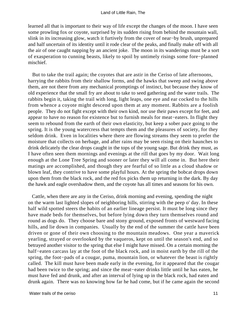learned all that is important to their way of life except the changes of the moon. I have seen some prowling fox or coyote, surprised by its sudden rising from behind the mountain wall, slink in its increasing glow, watch it furtively from the cover of near−by brush, unprepared and half uncertain of its identity until it rode clear of the peaks, and finally make off with all the air of one caught napping by an ancient joke. The moon in its wanderings must be a sort of exasperation to cunning beasts, likely to spoil by untimely risings some fore−planned mischief.

 But to take the trail again; the coyotes that are astir in the Ceriso of late afternoons, harrying the rabbits from their shallow forms, and the hawks that sweep and swing above them, are not there from any mechanical promptings of instinct, but because they know of old experience that the small fry are about to take to seed gathering and the water trails. The rabbits begin it, taking the trail with long, light leaps, one eye and ear cocked to the hills from whence a coyote might descend upon them at any moment. Rabbits are a foolish people. They do not fight except with their own kind, nor use their paws except for feet, and appear to have no reason for existence but to furnish meals for meat−eaters. In flight they seem to rebound from the earth of their own elasticity, but keep a sober pace going to the spring. It is the young watercress that tempts them and the pleasures of society, for they seldom drink. Even in localities where there are flowing streams they seem to prefer the moisture that collects on herbage, and after rains may be seen rising on their haunches to drink delicately the clear drops caught in the tops of the young sage. But drink they must, as I have often seen them mornings and evenings at the rill that goes by my door. Wait long enough at the Lone Tree Spring and sooner or later they will all come in. But here their matings are accomplished, and though they are fearful of so little as a cloud shadow or blown leaf, they contrive to have some playful hours. At the spring the bobcat drops down upon them from the black rock, and the red fox picks them up returning in the dark. By day the hawk and eagle overshadow them, and the coyote has all times and seasons for his own.

 Cattle, when there are any in the Ceriso, drink morning and evening, spending the night on the warm last lighted slopes of neighboring hills, stirring with the peep o' day. In these half wild spotted steers the habits of an earlier lineage persist. It must be long since they have made beds for themselves, but before lying down they turn themselves round and round as dogs do. They choose bare and stony ground, exposed fronts of westward facing hills, and lie down in companies. Usually by the end of the summer the cattle have been driven or gone of their own choosing to the mountain meadows. One year a maverick yearling, strayed or overlooked by the vaqueros, kept on until the season's end, and so betrayed another visitor to the spring that else I might have missed. On a certain morning the half−eaten carcass lay at the foot of the black rock, and in moist earth by the rill of the spring, the foot−pads of a cougar, puma, mountain lion, or whatever the beast is rightly called. The kill must have been made early in the evening, for it appeared that the cougar had been twice to the spring; and since the meat−eater drinks little until he has eaten, he must have fed and drunk, and after an interval of lying up in the black rock, had eaten and drunk again. There was no knowing how far he had come, but if he came again the second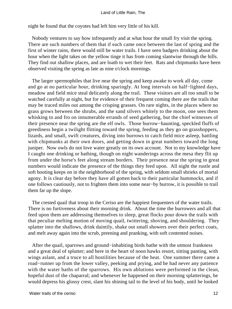night he found that the coyotes had left him very little of his kill.

 Nobody ventures to say how infrequently and at what hour the small fry visit the spring. There are such numbers of them that if each came once between the last of spring and the first of winter rains, there would still be water trails. I have seen badgers drinking about the hour when the light takes on the yellow tinge it has from coming slantwise through the hills. They find out shallow places, and are loath to wet their feet. Rats and chipmunks have been observed visiting the spring as late as nine o'clock mornings.

 The larger spermophiles that live near the spring and keep awake to work all day, come and go at no particular hour, drinking sparingly. At long intervals on half−lighted days, meadow and field mice steal delicately along the trail. These visitors are all too small to be watched carefully at night, but for evidence of their frequent coming there are the trails that may be traced miles out among the crisping grasses. On rare nights, in the places where no grass grows between the shrubs, and the sand silvers whitely to the moon, one sees them whisking to and fro on innumerable errands of seed gathering, but the chief witnesses of their presence near the spring are the elf owls. Those burrow−haunting, speckled fluffs of greediness begin a twilight flitting toward the spring, feeding as they go on grasshoppers, lizards, and small, swift creatures, diving into burrows to catch field mice asleep, battling with chipmunks at their own doors, and getting down in great numbers toward the long juniper. Now owls do not love water greatly on its own account. Not to my knowledge have I caught one drinking or bathing, though on night wanderings across the mesa they flit up from under the horse's feet along stream borders. Their presence near the spring in great numbers would indicate the presence of the things they feed upon. All night the rustle and soft hooting keeps on in the neighborhood of the spring, with seldom small shrieks of mortal agony. It is clear day before they have all gotten back to their particular hummocks, and if one follows cautiously, not to frighten them into some near−by burrow, it is possible to trail them far up the slope.

 The crested quail that troop in the Ceriso are the happiest frequenters of the water trails. There is no furtiveness about their morning drink. About the time the burrowers and all that feed upon them are addressing themselves to sleep, great flocks pour down the trails with that peculiar melting motion of moving quail, twittering, shoving, and shouldering. They splatter into the shallows, drink daintily, shake out small showers over their perfect coats, and melt away again into the scrub, preening and pranking, with soft contented noises.

 After the quail, sparrows and ground−inhabiting birds bathe with the utmost frankness and a great deal of splutter; and here in the heart of noon hawks resort, sitting panting, with wings aslant, and a truce to all hostilities because of the heat. One summer there came a road−runner up from the lower valley, peeking and prying, and he had never any patience with the water baths of the sparrows. His own ablutions were performed in the clean, hopeful dust of the chaparral; and whenever he happened on their morning splatterings, he would depress his glossy crest, slant his shining tail to the level of his body, until he looked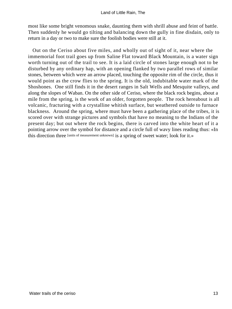most like some bright venomous snake, daunting them with shrill abuse and feint of battle. Then suddenly he would go tilting and balancing down the gully in fine disdain, only to return in a day or two to make sure the foolish bodies were still at it.

 Out on the Ceriso about five miles, and wholly out of sight of it, near where the immemorial foot trail goes up from Saline Flat toward Black Mountain, is a water sign worth turning out of the trail to see. It is a laid circle of stones large enough not to be disturbed by any ordinary hap, with an opening flanked by two parallel rows of similar stones, between which were an arrow placed, touching the opposite rim of the circle, thus it would point as the crow flies to the spring. It is the old, indubitable water mark of the Shoshones. One still finds it in the desert ranges in Salt Wells and Mesquite valleys, and along the slopes of Waban. On the other side of Ceriso, where the black rock begins, about a mile from the spring, is the work of an older, forgotten people. The rock hereabout is all volcanic, fracturing with a crystalline whitish surface, but weathered outside to furnace blackness. Around the spring, where must have been a gathering place of the tribes, it is scored over with strange pictures and symbols that have no meaning to the Indians of the present day; but out where the rock begins, there is carved into the white heart of it a pointing arrow over the symbol for distance and a circle full of wavy lines reading thus: «In this direction three [units of measurement unknown] is a spring of sweet water; look for it.»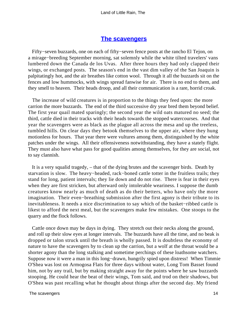### **[The scavengers](#page-72-0)**

 Fifty−seven buzzards, one on each of fifty−seven fence posts at the rancho El Tejon, on a mirage−breeding September morning, sat solemnly while the white tilted travelers' vans lumbered down the Canada de los Uvas. After three hours they had only clapped their wings, or exchanged posts. The season's end in the vast dim valley of the San Joaquin is palpitatingly hot, and the air breathes like cotton wool. Through it all the buzzards sit on the fences and low hummocks, with wings spread fanwise for air. There is no end to them, and they smell to heaven. Their heads droop, and all their communication is a rare, horrid croak.

 The increase of wild creatures is in proportion to the things they feed upon: the more carrion the more buzzards. The end of the third successive dry year bred them beyond belief. The first year quail mated sparingly; the second year the wild oats matured no seed; the third, cattle died in their tracks with their heads towards the stopped watercourses. And that year the scavengers were as black as the plague all across the mesa and up the treeless, tumbled hills. On clear days they betook themselves to the upper air, where they hung motionless for hours. That year there were vultures among them, distinguished by the white patches under the wings. All their offensiveness notwithstanding, they have a stately flight. They must also have what pass for good qualities among themselves, for they are social, not to say clannish.

 It is a very squalid tragedy, – that of the dying brutes and the scavenger birds. Death by starvation is slow. The heavy−headed, rack−boned cattle totter in the fruitless trails; they stand for long, patient intervals; they lie down and do not rise. There is fear in their eyes when they are first stricken, but afterward only intolerable weariness. I suppose the dumb creatures know nearly as much of death as do their betters, who have only the more imagination. Their even−breathing submission after the first agony is their tribute to its inevitableness. It needs a nice discrimination to say which of the basket−ribbed cattle is likest to afford the next meal, but the scavengers make few mistakes. One stoops to the quarry and the flock follows.

 Cattle once down may be days in dying. They stretch out their necks along the ground, and roll up their slow eyes at longer intervals. The buzzards have all the time, and no beak is dropped or talon struck until the breath is wholly passed. It is doubtless the economy of nature to have the scavengers by to clean up the carrion, but a wolf at the throat would be a shorter agony than the long stalking and sometime perchings of these loathsome watchers. Suppose now it were a man in this long−drawn, hungrily spied upon distress! When Timmie O'Shea was lost on Armogosa Flats for three days without water, Long Tom Basset found him, not by any trail, but by making straight away for the points where he saw buzzards stooping. He could hear the beat of their wings, Tom said, and trod on their shadows, but O'Shea was past recalling what he thought about things after the second day. My friend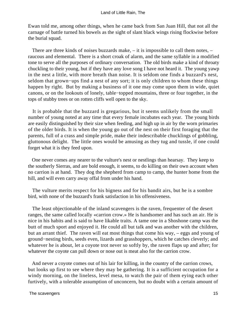Ewan told me, among other things, when he came back from San Juan Hill, that not all the carnage of battle turned his bowels as the sight of slant black wings rising flockwise before the burial squad.

 There are three kinds of noises buzzards make, – it is impossible to call them notes, – raucous and elemental. There is a short croak of alarm, and the same syllable in a modified tone to serve all the purposes of ordinary conversation. The old birds make a kind of throaty chuckling to their young, but if they have any love song I have not heard it. The young yawp in the nest a little, with more breath than noise. It is seldom one finds a buzzard's nest, seldom that grown−ups find a nest of any sort; it is only children to whom these things happen by right. But by making a business of it one may come upon them in wide, quiet canons, or on the lookouts of lonely, table−topped mountains, three or four together, in the tops of stubby trees or on rotten cliffs well open to the sky.

 It is probable that the buzzard is gregarious, but it seems unlikely from the small number of young noted at any time that every female incubates each year. The young birds are easily distinguished by their size when feeding, and high up in air by the worn primaries of the older birds. It is when the young go out of the nest on their first foraging that the parents, full of a crass and simple pride, make their indescribable chucklings of gobbling, gluttonous delight. The little ones would be amusing as they tug and tussle, if one could forget what it is they feed upon.

 One never comes any nearer to the vulture's nest or nestlings than hearsay. They keep to the southerly Sierras, and are bold enough, it seems, to do killing on their own account when no carrion is at hand. They dog the shepherd from camp to camp, the hunter home from the hill, and will even carry away offal from under his hand.

 The vulture merits respect for his bigness and for his bandit airs, but he is a sombre bird, with none of the buzzard's frank satisfaction in his offensiveness.

 The least objectionable of the inland scavengers is the raven, frequenter of the desert ranges, the same called locally «carrion crow.» He is handsomer and has such an air. He is nice in his habits and is said to have likable traits. A tame one in a Shoshone camp was the butt of much sport and enjoyed it. He could all but talk and was another with the children, but an arrant thief. The raven will eat most things that come his way, – eggs and young of ground−nesting birds, seeds even, lizards and grasshoppers, which he catches cleverly; and whatever he is about, let a coyote trot never so softly by, the raven flaps up and after; for whatever the coyote can pull down or nose out is meat also for the carrion crow.

 And never a coyote comes out of his lair for killing, in the country of the carrion crows, but looks up first to see where they may be gathering. It is a sufficient occupation for a windy morning, on the lineless, level mesa, to watch the pair of them eying each other furtively, with a tolerable assumption of unconcern, but no doubt with a certain amount of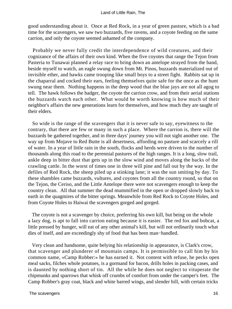good understanding about it. Once at Red Rock, in a year of green pasture, which is a bad time for the scavengers, we saw two buzzards, five ravens, and a coyote feeding on the same carrion, and only the coyote seemed ashamed of the company.

 Probably we never fully credit the interdependence of wild creatures, and their cognizance of the affairs of their own kind. When the five coyotes that range the Tejon from Pasteria to Tunawai planned a relay race to bring down an antelope strayed from the band, beside myself to watch, an eagle swung down from Mt. Pinos, buzzards materialized out of invisible ether, and hawks came trooping like small boys to a street fight. Rabbits sat up in the chaparral and cocked their ears, feeling themselves quite safe for the once as the hunt swung near them. Nothing happens in the deep wood that the blue jays are not all agog to tell. The hawk follows the badger, the coyote the carrion crow, and from their aerial stations the buzzards watch each other. What would be worth knowing is how much of their neighbor's affairs the new generations learn for themselves, and how much they are taught of their elders.

 So wide is the range of the scavengers that it is never safe to say, eyewitness to the contrary, that there are few or many in such a place. Where the carrion is, there will the buzzards be gathered together, and in three days' journey you will not sight another one. The way up from Mojave to Red Butte is all desertness, affording no pasture and scarcely a rill of water. In a year of little rain in the south, flocks and herds were driven to the number of thousands along this road to the perennial pastures of the high ranges. It is a long, slow trail, ankle deep in bitter dust that gets up in the slow wind and moves along the backs of the crawling cattle. In the worst of times one in three will pine and fall out by the way. In the defiles of Red Rock, the sheep piled up a stinking lane; it was the sun smiting by day. To these shambles came buzzards, vultures, and coyotes from all the country round, so that on the Tejon, the Ceriso, and the Little Antelope there were not scavengers enough to keep the country clean. All that summer the dead mummified in the open or dropped slowly back to earth in the quagmires of the bitter springs. Meanwhile from Red Rock to Coyote Holes, and from Coyote Holes to Haiwai the scavengers gorged and gorged.

 The coyote is not a scavenger by choice, preferring his own kill, but being on the whole a lazy dog, is apt to fall into carrion eating because it is easier. The red fox and bobcat, a little pressed by hunger, will eat of any other animal's kill, but will not ordinarily touch what dies of itself, and are exceedingly shy of food that has been man−handled.

 Very clean and handsome, quite belying his relationship in appearance, is Clark's crow, that scavenger and plunderer of mountain camps. It is permissible to call him by his common name, «Camp Robber:» he has earned it. Not content with refuse, he pecks open meal sacks, filches whole potatoes, is a gormand for bacon, drills holes in packing cases, and is daunted by nothing short of tin. All the while he does not neglect to vituperate the chipmunks and sparrows that whisk off crumbs of comfort from under the camper's feet. The Camp Robber's gray coat, black and white barred wings, and slender bill, with certain tricks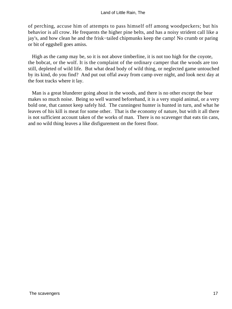of perching, accuse him of attempts to pass himself off among woodpeckers; but his behavior is all crow. He frequents the higher pine belts, and has a noisy strident call like a jay's, and how clean he and the frisk−tailed chipmunks keep the camp! No crumb or paring or bit of eggshell goes amiss.

 High as the camp may be, so it is not above timberline, it is not too high for the coyote, the bobcat, or the wolf. It is the complaint of the ordinary camper that the woods are too still, depleted of wild life. But what dead body of wild thing, or neglected game untouched by its kind, do you find? And put out offal away from camp over night, and look next day at the foot tracks where it lay.

 Man is a great blunderer going about in the woods, and there is no other except the bear makes so much noise. Being so well warned beforehand, it is a very stupid animal, or a very bold one, that cannot keep safely hid. The cunningest hunter is hunted in turn, and what he leaves of his kill is meat for some other. That is the economy of nature, but with it all there is not sufficient account taken of the works of man. There is no scavenger that eats tin cans, and no wild thing leaves a like disfigurement on the forest floor.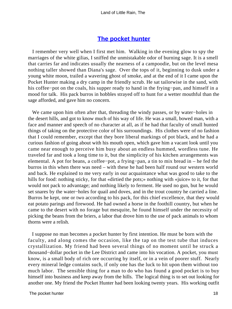## **[The pocket hunter](#page-72-0)**

 I remember very well when I first met him. Walking in the evening glow to spy the marriages of the white gilias, I sniffed the unmistakable odor of burning sage. It is a smell that carries far and indicates usually the nearness of a campoodie, but on the level mesa nothing taller showed than Diana's sage. Over the tops of it, beginning to dusk under a young white moon, trailed a wavering ghost of smoke, and at the end of it I came upon the Pocket Hunter making a dry camp in the friendly scrub. He sat tailorwise in the sand, with his coffee−pot on the coals, his supper ready to hand in the frying−pan, and himself in a mood for talk. His pack burros in hobbles strayed off to hunt for a wetter mouthful than the sage afforded, and gave him no concern.

 We came upon him often after that, threading the windy passes, or by water−holes in the desert hills, and got to know much of his way of life. He was a small, bowed man, with a face and manner and speech of no character at all, as if he had that faculty of small hunted things of taking on the protective color of his surroundings. His clothes were of no fashion that I could remember, except that they bore liberal markings of pot black, and he had a curious fashion of going about with his mouth open, which gave him a vacant look until you came near enough to perceive him busy about an endless hummed, wordless tune. He traveled far and took a long time to it, but the simplicity of his kitchen arrangements was elemental. A pot for beans, a coffee−pot, a frying−pan, a tin to mix bread in – he fed the burros in this when there was need – with these he had been half round our western world and back. He explained to me very early in our acquaintance what was good to take to the hills for food: nothing sticky, for that «dirtied the pots;» nothing with «juice» to it, for that would not pack to advantage; and nothing likely to ferment. He used no gun, but he would set snares by the water−holes for quail and doves, and in the trout country he carried a line. Burros he kept, one or two according to his pack, for this chief excellence, that they would eat potato parings and firewood. He had owned a horse in the foothill country, but when he came to the desert with no forage but mesquite, he found himself under the necessity of picking the beans from the briers, a labor that drove him to the use of pack animals to whom thorns were a relish.

 I suppose no man becomes a pocket hunter by first intention. He must be born with the faculty, and along comes the occasion, like the tap on the test tube that induces crystallization. My friend had been several things of no moment until he struck a thousand−dollar pocket in the Lee District and came into his vocation. A pocket, you must know, is a small body of rich ore occurring by itself, or in a vein of poorer stuff. Nearly every mineral ledge contains such, if only one has the luck to hit upon them without too much labor. The sensible thing for a man to do who has found a good pocket is to buy himself into business and keep away from the hills. The logical thing is to set out looking for another one. My friend the Pocket Hunter had been looking twenty years. His working outfit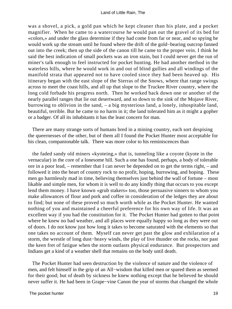was a shovel, a pick, a gold pan which he kept cleaner than his plate, and a pocket magnifier. When he came to a watercourse he would pan out the gravel of its bed for «colors,» and under the glass determine if they had come from far or near, and so spying he would work up the stream until he found where the drift of the gold−bearing outcrop fanned out into the creek; then up the side of the canon till he came to the proper vein. I think he said the best indication of small pockets was an iron stain, but I could never get the run of miner's talk enough to feel instructed for pocket hunting. He had another method in the waterless hills, where he would work in and out of blind gullies and all windings of the manifold strata that appeared not to have cooled since they had been heaved up. His itinerary began with the east slope of the Sierras of the Snows, where that range swings across to meet the coast hills, and all up that slope to the Truckee River country, where the long cold forbade his progress north. Then he worked back down one or another of the nearly parallel ranges that lie out desertward, and so down to the sink of the Mojave River, burrowing to oblivion in the sand, – a big mysterious land, a lonely, inhospitable land, beautiful, terrible. But he came to no harm in it; the land tolerated him as it might a gopher or a badger. Of all its inhabitants it has the least concern for man.

 There are many strange sorts of humans bred in a mining country, each sort despising the queernesses of the other, but of them all I found the Pocket Hunter most acceptable for his clean, companionable talk. There was more color to his reminiscences than

 the faded sandy old miners «kyoteing,» that is, tunneling like a coyote (kyote in the vernacular) in the core of a lonesome hill. Such a one has found, perhaps, a body of tolerable ore in a poor lead, – remember that I can never be depended on to get the terms right, – and followed it into the heart of country rock to no profit, hoping, burrowing, and hoping. These men go harmlessly mad in time, believing themselves just behind the wall of fortune – most likable and simple men, for whom it is well to do any kindly thing that occurs to you except lend them money. I have known «grub stakers» too, those persuasive sinners to whom you make allowances of flour and pork and coffee in consideration of the ledges they are about to find; but none of these proved so much worth while as the Pocket Hunter. He wanted nothing of you and maintained a cheerful preference for his own way of life. It was an excellent way if you had the constitution for it. The Pocket Hunter had gotten to that point where he knew no bad weather, and all places were equally happy so long as they were out of doors. I do not know just how long it takes to become saturated with the elements so that one takes no account of them. Myself can never get past the glow and exhilaration of a storm, the wrestle of long dust−heavy winds, the play of live thunder on the rocks, nor past the keen fret of fatigue when the storm outlasts physical endurance. But prospectors and Indians get a kind of a weather shell that remains on the body until death.

 The Pocket Hunter had seen destruction by the violence of nature and the violence of men, and felt himself in the grip of an All−wisdom that killed men or spared them as seemed for their good; but of death by sickness he knew nothing except that he believed he should never suffer it. He had been in Grape−vine Canon the year of storms that changed the whole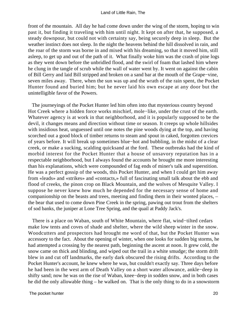front of the mountain. All day he had come down under the wing of the storm, hoping to win past it, but finding it traveling with him until night. It kept on after that, he supposed, a steady downpour, but could not with certainty say, being securely deep in sleep. But the weather instinct does not sleep. In the night the heavens behind the hill dissolved in rain, and the roar of the storm was borne in and mixed with his dreaming, so that it moved him, still asleep, to get up and out of the path of it. What finally woke him was the crash of pine logs as they went down before the unbridled flood, and the swirl of foam that lashed him where he clung in the tangle of scrub while the wall of water went by. It went on against the cabin of Bill Gerry and laid Bill stripped and broken on a sand bar at the mouth of the Grape−vine, seven miles away. There, when the sun was up and the wrath of the rain spent, the Pocket Hunter found and buried him; but he never laid his own escape at any door but the unintelligible favor of the Powers.

 The journeyings of the Pocket Hunter led him often into that mysterious country beyond Hot Creek where a hidden force works mischief, mole−like, under the crust of the earth. Whatever agency is at work in that neighborhood, and it is popularly supposed to be the devil, it changes means and direction without time or season. It creeps up whole hillsides with insidious heat, unguessed until one notes the pine woods dying at the top, and having scorched out a good block of timber returns to steam and spout in caked, forgotten crevices of years before. It will break up sometimes blue−hot and bubbling, in the midst of a clear creek, or make a sucking, scalding quicksand at the ford. These outbreaks had the kind of morbid interest for the Pocket Hunter that a house of unsavory reputation has in a respectable neighborhood, but I always found the accounts he brought me more interesting than his explanations, which were compounded of fag ends of miner's talk and superstition. He was a perfect gossip of the woods, this Pocket Hunter, and when I could get him away from «leads» and «strikes» and «contacts,» full of fascinating small talk about the ebb and flood of creeks, the pinon crop on Black Mountain, and the wolves of Mesquite Valley. I suppose he never knew how much he depended for the necessary sense of home and companionship on the beasts and trees, meeting and finding them in their wonted places, – the bear that used to come down Pine Creek in the spring, pawing out trout from the shelters of sod banks, the juniper at Lone Tree Spring, and the quail at Paddy Jack's.

 There is a place on Waban, south of White Mountain, where flat, wind−tilted cedars make low tents and coves of shade and shelter, where the wild sheep winter in the snow. Woodcutters and prospectors had brought me word of that, but the Pocket Hunter was accessory to the fact. About the opening of winter, when one looks for sudden big storms, he had attempted a crossing by the nearest path, beginning the ascent at noon. It grew cold, the snow came on thick and blinding, and wiped out the trail in a white smudge; the storm drift blew in and cut off landmarks, the early dark obscured the rising drifts. According to the Pocket Hunter's account, he knew where he was, but couldn't exactly say. Three days before he had been in the west arm of Death Valley on a short water allowance, ankle−deep in shifty sand; now he was on the rise of Waban, knee−deep in sodden snow, and in both cases he did the only allowable thing – he walked on. That is the only thing to do in a snowstorm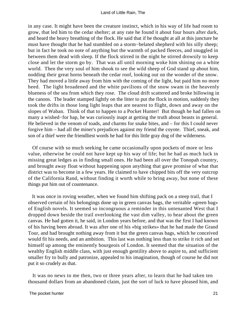in any case. It might have been the creature instinct, which in his way of life had room to grow, that led him to the cedar shelter; at any rate he found it about four hours after dark, and heard the heavy breathing of the flock. He said that if he thought at all at this juncture he must have thought that he had stumbled on a storm−belated shepherd with his silly sheep; but in fact he took no note of anything but the warmth of packed fleeces, and snuggled in between them dead with sleep. If the flock stirred in the night he stirred drowsily to keep close and let the storm go by. That was all until morning woke him shining on a white world. Then the very soul of him shook to see the wild sheep of God stand up about him, nodding their great horns beneath the cedar roof, looking out on the wonder of the snow. They had moved a little away from him with the coming of the light, but paid him no more heed. The light broadened and the white pavilions of the snow swam in the heavenly blueness of the sea from which they rose. The cloud drift scattered and broke billowing in the canons. The leader stamped lightly on the litter to put the flock in motion, suddenly they took the drifts in those long light leaps that are nearest to flight, down and away on the slopes of Waban. Think of that to happen to a Pocket Hunter! But though he had fallen on many a wished−for hap, he was curiously inapt at getting the truth about beasts in general. He believed in the venom of toads, and charms for snake bites, and – for this I could never forgive him – had all the miner's prejudices against my friend the coyote. Thief, sneak, and son of a thief were the friendliest words he had for this little gray dog of the wilderness.

 Of course with so much seeking he came occasionally upon pockets of more or less value, otherwise he could not have kept up his way of life; but he had as much luck in missing great ledges as in finding small ones. He had been all over the Tonopah country, and brought away float without happening upon anything that gave promise of what that district was to become in a few years. He claimed to have chipped bits off the very outcrop of the California Rand, without finding it worth while to bring away, but none of these things put him out of countenance.

 It was once in roving weather, when we found him shifting pack on a steep trail, that I observed certain of his belongings done up in green canvas bags, the veritable «green bag» of English novels. It seemed so incongruous a reminder in this untenanted West that I dropped down beside the trail overlooking the vast dim valley, to hear about the green canvas. He had gotten it, he said, in London years before, and that was the first I had known of his having been abroad. It was after one of his «big strikes» that he had made the Grand Tour, and had brought nothing away from it but the green canvas bags, which he conceived would fit his needs, and an ambition. This last was nothing less than to strike it rich and set himself up among the eminently bourgeois of London. It seemed that the situation of the wealthy English middle class, with just enough gentility above to aspire to, and sufficient smaller fry to bully and patronize, appealed to his imagination, though of course he did not put it so crudely as that.

 It was no news to me then, two or three years after, to learn that he had taken ten thousand dollars from an abandoned claim, just the sort of luck to have pleased him, and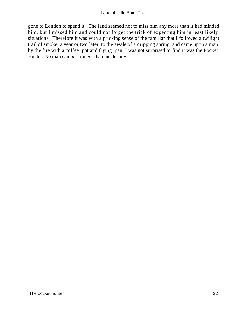gone to London to spend it. The land seemed not to miss him any more than it had minded him, but I missed him and could not forget the trick of expecting him in least likely situations. Therefore it was with a pricking sense of the familiar that I followed a twilight trail of smoke, a year or two later, to the swale of a dripping spring, and came upon a man by the fire with a coffee−pot and frying−pan. I was not surprised to find it was the Pocket Hunter. No man can be stronger than his destiny.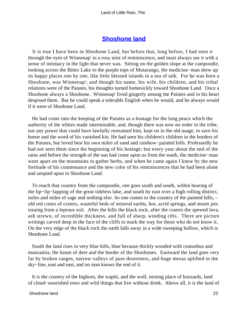## **[Shoshone land](#page-72-0)**

 It is true I have been in Shoshone Land, but before that, long before, I had seen it through the eyes of Winnenap' in a rosy mist of reminiscence, and must always see it with a sense of intimacy in the light that never was. Sitting on the golden slope at the campoodie, looking across the Bitter Lake to the purple tops of Mutarango, the medicine−man drew up its happy places one by one, like little blessed islands in a sea of talk. For he was born a Shoshone, was Winnenap'; and though his name, his wife, his children, and his tribal relations were of the Paiutes, his thoughts turned homesickly toward Shoshone Land. Once a Shoshone always a Shoshone. Winnenap' lived gingerly among the Paiutes and in his heart despised them. But he could speak a tolerable English when he would, and he always would if it were of Shoshone Land.

 He had come into the keeping of the Paiutes as a hostage for the long peace which the authority of the whites made interminable, and, though there was now no order in the tribe, nor any power that could have lawfully restrained him, kept on in the old usage, to save his honor and the word of his vanished kin. He had seen his children's children in the borders of the Paiutes, but loved best his own miles of sand and rainbow−painted hills. Professedly he had not seen them since the beginning of his hostage; but every year about the end of the rains and before the strength of the sun had come upon us from the south, the medicine−man went apart on the mountains to gather herbs, and when he came again I knew by the new fortitude of his countenance and the new color of his reminiscences that he had been alone and unspied upon in Shoshone Land.

 To reach that country from the campoodie, one goes south and south, within hearing of the lip−lip−lapping of the great tideless lake, and south by east over a high rolling district, miles and miles of sage and nothing else. So one comes to the country of the painted hills, – old red cones of craters, wasteful beds of mineral earths, hot, acrid springs, and steam jets issuing from a leprous soil. After the hills the black rock, after the craters the spewed lava, ash strewn, of incredible thickness, and full of sharp, winding rifts. There are picture writings carved deep in the face of the cliffs to mark the way for those who do not know it. On the very edge of the black rock the earth falls away in a wide sweeping hollow, which is Shoshone Land.

 South the land rises in very blue hills, blue because thickly wooded with ceanothus and manzanita, the haunt of deer and the border of the Shoshones. Eastward the land goes very far by broken ranges, narrow valleys of pure desertness, and huge mesas uplifted to the sky−line, east and east, and no man knows the end of it.

 It is the country of the bighorn, the wapiti, and the wolf, nesting place of buzzards, land of cloud−nourished trees and wild things that live without drink. Above all, it is the land of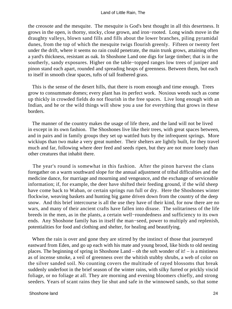the creosote and the mesquite. The mesquite is God's best thought in all this desertness. It grows in the open, is thorny, stocky, close grown, and iron−rooted. Long winds move in the draughty valleys, blown sand fills and fills about the lower branches, piling pyramidal dunes, from the top of which the mesquite twigs flourish greenly. Fifteen or twenty feet under the drift, where it seems no rain could penetrate, the main trunk grows, attaining often a yard's thickness, resistant as oak. In Shoshone Land one digs for large timber; that is in the southerly, sandy exposures. Higher on the table−topped ranges low trees of juniper and pinon stand each apart, rounded and spreading heaps of greenness. Between them, but each to itself in smooth clear spaces, tufts of tall feathered grass.

 This is the sense of the desert hills, that there is room enough and time enough. Trees grow to consummate domes; every plant has its perfect work. Noxious weeds such as come up thickly in crowded fields do not flourish in the free spaces. Live long enough with an Indian, and he or the wild things will show you a use for everything that grows in these borders.

 The manner of the country makes the usage of life there, and the land will not be lived in except in its own fashion. The Shoshones live like their trees, with great spaces between, and in pairs and in family groups they set up wattled huts by the infrequent springs. More wickiups than two make a very great number. Their shelters are lightly built, for they travel much and far, following where deer feed and seeds ripen, but they are not more lonely than other creatures that inhabit there.

 The year's round is somewhat in this fashion. After the pinon harvest the clans foregather on a warm southward slope for the annual adjustment of tribal difficulties and the medicine dance, for marriage and mourning and vengeance, and the exchange of serviceable information; if, for example, the deer have shifted their feeding ground, if the wild sheep have come back to Waban, or certain springs run full or dry. Here the Shoshones winter flockwise, weaving baskets and hunting big game driven down from the country of the deep snow. And this brief intercourse is all the use they have of their kind, for now there are no wars, and many of their ancient crafts have fallen into disuse. The solitariness of the life breeds in the men, as in the plants, a certain well−roundedness and sufficiency to its own ends. Any Shoshone family has in itself the man−seed, power to multiply and replenish, potentialities for food and clothing and shelter, for healing and beautifying.

 When the rain is over and gone they are stirred by the instinct of those that journeyed eastward from Eden, and go up each with his mate and young brood, like birds to old nesting places. The beginning of spring in Shoshone Land – oh the soft wonder of it! – is a mistiness as of incense smoke, a veil of greenness over the whitish stubby shrubs, a web of color on the silver sanded soil. No counting covers the multitude of rayed blossoms that break suddenly underfoot in the brief season of the winter rains, with silky furred or prickly viscid foliage, or no foliage at all. They are morning and evening bloomers chiefly, and strong seeders. Years of scant rains they lie shut and safe in the winnowed sands, so that some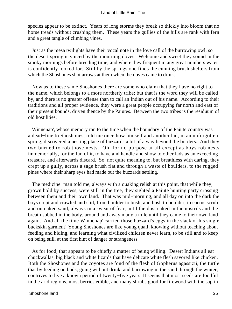species appear to be extinct. Years of long storms they break so thickly into bloom that no horse treads without crushing them. These years the gullies of the hills are rank with fern and a great tangle of climbing vines.

 Just as the mesa twilights have their vocal note in the love call of the burrowing owl, so the desert spring is voiced by the mourning doves. Welcome and sweet they sound in the smoky mornings before breeding time, and where they frequent in any great numbers water is confidently looked for. Still by the springs one finds the cunning brush shelters from which the Shoshones shot arrows at them when the doves came to drink.

 Now as to these same Shoshones there are some who claim that they have no right to the name, which belongs to a more northerly tribe; but that is the word they will be called by, and there is no greater offense than to call an Indian out of his name. According to their traditions and all proper evidence, they were a great people occupying far north and east of their present bounds, driven thence by the Paiutes. Between the two tribes is the residuum of old hostilities.

 Winnenap', whose memory ran to the time when the boundary of the Paiute country was a dead−line to Shoshones, told me once how himself and another lad, in an unforgotten spring, discovered a nesting place of buzzards a bit of a way beyond the borders. And they two burned to rob those nests. Oh, for no purpose at all except as boys rob nests immemorially, for the fun of it, to have and handle and show to other lads as an exceeding treasure, and afterwards discard. So, not quite meaning to, but breathless with daring, they crept up a gully, across a sage brush flat and through a waste of boulders, to the rugged pines where their sharp eyes had made out the buzzards settling.

 The medicine−man told me, always with a quaking relish at this point, that while they, grown bold by success, were still in the tree, they sighted a Paiute hunting party crossing between them and their own land. That was mid−morning, and all day on into the dark the boys crept and crawled and slid, from boulder to bush, and bush to boulder, in cactus scrub and on naked sand, always in a sweat of fear, until the dust caked in the nostrils and the breath sobbed in the body, around and away many a mile until they came to their own land again. And all the time Winnenap' carried those buzzard's eggs in the slack of his single buckskin garment! Young Shoshones are like young quail, knowing without teaching about feeding and hiding, and learning what civilized children never learn, to be still and to keep on being still, at the first hint of danger or strangeness.

 As for food, that appears to be chiefly a matter of being willing. Desert Indians all eat chuckwallas, big black and white lizards that have delicate white flesh savored like chicken. Both the Shoshones and the coyotes are fond of the flesh of Gopherus agassizii, the turtle that by feeding on buds, going without drink, and burrowing in the sand through the winter, contrives to live a known period of twenty−five years. It seems that most seeds are foodful in the arid regions, most berries edible, and many shrubs good for firewood with the sap in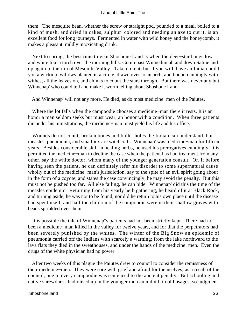them. The mesquite bean, whether the screw or straight pod, pounded to a meal, boiled to a kind of mush, and dried in cakes, sulphur−colored and needing an axe to cut it, is an excellent food for long journeys. Fermented in water with wild honey and the honeycomb, it makes a pleasant, mildly intoxicating drink.

 Next to spring, the best time to visit Shoshone Land is when the deer−star hangs low and white like a torch over the morning hills. Go up past Winnedumah and down Saline and up again to the rim of Mesquite Valley. Take no tent, but if you will, have an Indian build you a wickiup, willows planted in a circle, drawn over to an arch, and bound cunningly with withes, all the leaves on, and chinks to count the stars through. But there was never any but Winnenap' who could tell and make it worth telling about Shoshone Land.

And Winnenap' will not any more. He died, as do most medicine−men of the Paiutes.

 Where the lot falls when the campoodie chooses a medicine−man there it rests. It is an honor a man seldom seeks but must wear, an honor with a condition. When three patients die under his ministrations, the medicine−man must yield his life and his office.

 Wounds do not count; broken bones and bullet holes the Indian can understand, but measles, pneumonia, and smallpox are witchcraft. Winnenap' was medicine−man for fifteen years. Besides considerable skill in healing herbs, he used his prerogatives cunningly. It is permitted the medicine−man to decline the case when the patient has had treatment from any other, say the white doctor, whom many of the younger generation consult. Or, if before having seen the patient, he can definitely refer his disorder to some supernatural cause wholly out of the medicine−man's jurisdiction, say to the spite of an evil spirit going about in the form of a coyote, and states the case convincingly, he may avoid the penalty. But this must not be pushed too far. All else failing, he can hide. Winnenap' did this the time of the measles epidemic. Returning from his yearly herb gathering, he heard of it at Black Rock, and turning aside, he was not to be found, nor did he return to his own place until the disease had spent itself, and half the children of the campoodie were in their shallow graves with beads sprinkled over them.

 It is possible the tale of Winnenap''s patients had not been strictly kept. There had not been a medicine−man killed in the valley for twelve years, and for that the perpetrators had been severely punished by the whites. The winter of the Big Snow an epidemic of pneumonia carried off the Indians with scarcely a warning; from the lake northward to the lava flats they died in the sweathouses, and under the hands of the medicine−men. Even the drugs of the white physician had no power.

 After two weeks of this plague the Paiutes drew to council to consider the remissness of their medicine−men. They were sore with grief and afraid for themselves; as a result of the council, one in every campoodie was sentenced to the ancient penalty. But schooling and native shrewdness had raised up in the younger men an unfaith in old usages, so judgment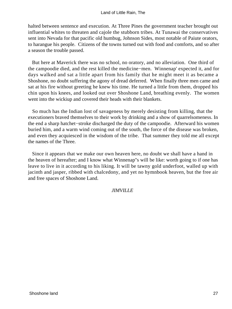halted between sentence and execution. At Three Pines the government teacher brought out influential whites to threaten and cajole the stubborn tribes. At Tunawai the conservatives sent into Nevada for that pacific old humbug, Johnson Sides, most notable of Paiute orators, to harangue his people. Citizens of the towns turned out with food and comforts, and so after a season the trouble passed.

 But here at Maverick there was no school, no oratory, and no alleviation. One third of the campoodie died, and the rest killed the medicine−men. Winnenap' expected it, and for days walked and sat a little apart from his family that he might meet it as became a Shoshone, no doubt suffering the agony of dread deferred. When finally three men came and sat at his fire without greeting he knew his time. He turned a little from them, dropped his chin upon his knees, and looked out over Shoshone Land, breathing evenly. The women went into the wickiup and covered their heads with their blankets.

 So much has the Indian lost of savageness by merely desisting from killing, that the executioners braved themselves to their work by drinking and a show of quarrelsomeness. In the end a sharp hatchet−stroke discharged the duty of the campoodie. Afterward his women buried him, and a warm wind coming out of the south, the force of the disease was broken, and even they acquiesced in the wisdom of the tribe. That summer they told me all except the names of the Three.

 Since it appears that we make our own heaven here, no doubt we shall have a hand in the heaven of hereafter; and I know what Winnenap''s will be like: worth going to if one has leave to live in it according to his liking. It will be tawny gold underfoot, walled up with jacinth and jasper, ribbed with chalcedony, and yet no hymnbook heaven, but the free air and free spaces of Shoshone Land.

### *JIMVILLE*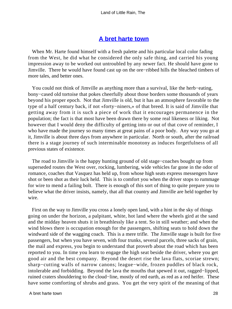## **[A bret harte town](#page-72-0)**

 When Mr. Harte found himself with a fresh palette and his particular local color fading from the West, he did what he considered the only safe thing, and carried his young impression away to be worked out untroubled by any newer fact. He should have gone to Jimville. There he would have found cast up on the ore−ribbed hills the bleached timbers of more tales, and better ones.

 You could not think of Jimville as anything more than a survival, like the herb−eating, bony−cased old tortoise that pokes cheerfully about those borders some thousands of years beyond his proper epoch. Not that Jimville is old, but it has an atmosphere favorable to the type of a half century back, if not «forty−niners,» of that breed. It is said of Jimville that getting away from it is such a piece of work that it encourages permanence in the population; the fact is that most have been drawn there by some real likeness or liking. Not however that I would deny the difficulty of getting into or out of that cove of reminder, I who have made the journey so many times at great pains of a poor body. Any way you go at it, Jimville is about three days from anywhere in particular. North or south, after the railroad there is a stage journey of such interminable monotony as induces forgetfulness of all previous states of existence.

 The road to Jimville is the happy hunting ground of old stage−coaches bought up from superseded routes the West over, rocking, lumbering, wide vehicles far gone in the odor of romance, coaches that Vasquez has held up, from whose high seats express messengers have shot or been shot as their luck held. This is to comfort you when the driver stops to rummage for wire to mend a failing bolt. There is enough of this sort of thing to quite prepare you to believe what the driver insists, namely, that all that country and Jimville are held together by wire.

 First on the way to Jimville you cross a lonely open land, with a hint in the sky of things going on under the horizon, a palpitant, white, hot land where the wheels gird at the sand and the midday heaven shuts it in breathlessly like a tent. So in still weather; and when the wind blows there is occupation enough for the passengers, shifting seats to hold down the windward side of the wagging coach. This is a mere trifle. The Jimville stage is built for five passengers, but when you have seven, with four trunks, several parcels, three sacks of grain, the mail and express, you begin to understand that proverb about the road which has been reported to you. In time you learn to engage the high seat beside the driver, where you get good air and the best company. Beyond the desert rise the lava flats, scoriae strewn; sharp−cutting walls of narrow canons; league−wide, frozen puddles of black rock, intolerable and forbidding. Beyond the lava the mouths that spewed it out, ragged−lipped, ruined craters shouldering to the cloud−line, mostly of red earth, as red as a red heifer. These have some comforting of shrubs and grass. You get the very spirit of the meaning of that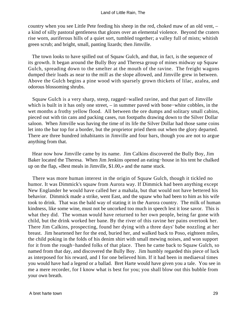country when you see Little Pete feeding his sheep in the red, choked maw of an old vent, – a kind of silly pastoral gentleness that glozes over an elemental violence. Beyond the craters rise worn, auriferous hills of a quiet sort, tumbled together; a valley full of mists; whitish green scrub; and bright, small, panting lizards; then Jimville.

 The town looks to have spilled out of Squaw Gulch, and that, in fact, is the sequence of its growth. It began around the Bully Boy and Theresa group of mines midway up Squaw Gulch, spreading down to the smelter at the mouth of the ravine. The freight wagons dumped their loads as near to the mill as the slope allowed, and Jimville grew in between. Above the Gulch begins a pine wood with sparsely grown thickets of lilac, azalea, and odorous blossoming shrubs.

 Squaw Gulch is a very sharp, steep, ragged−walled ravine, and that part of Jimville which is built in it has only one street, – in summer paved with bone−white cobbles, in the wet months a frothy yellow flood. All between the ore dumps and solitary small cabins, pieced out with tin cans and packing cases, run footpaths drawing down to the Silver Dollar saloon. When Jimville was having the time of its life the Silver Dollar had those same coins let into the bar top for a border, but the proprietor pried them out when the glory departed. There are three hundred inhabitants in Jimville and four bars, though you are not to argue anything from that.

 Hear now how Jimville came by its name. Jim Calkins discovered the Bully Boy, Jim Baker located the Theresa. When Jim Jenkins opened an eating−house in his tent he chalked up on the flap, «Best meals in Jimville, \$1.00,» and the name stuck.

 There was more human interest in the origin of Squaw Gulch, though it tickled no humor. It was Dimmick's squaw from Aurora way. If Dimmick had been anything except New Englander he would have called her a mahala, but that would not have bettered his behavior. Dimmick made a strike, went East, and the squaw who had been to him as his wife took to drink. That was the bald way of stating it in the Aurora country. The milk of human kindness, like some wine, must not be uncorked too much in speech lest it lose savor. This is what they did. The woman would have returned to her own people, being far gone with child, but the drink worked her bane. By the river of this ravine her pains overtook her. There Jim Calkins, prospecting, found her dying with a three days' babe nozzling at her breast. Jim heartened her for the end, buried her, and walked back to Poso, eighteen miles, the child poking in the folds of his denim shirt with small mewing noises, and won support for it from the rough−handed folks of that place. Then he came back to Squaw Gulch, so named from that day, and discovered the Bully Boy. Jim humbly regarded this piece of luck as interposed for his reward, and I for one believed him. If it had been in mediaeval times you would have had a legend or a ballad. Bret Harte would have given you a tale. You see in me a mere recorder, for I know what is best for you; you shall blow out this bubble from your own breath.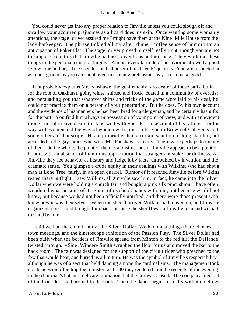You could never get into any proper relation to Jimville unless you could slough off and swallow your acquired prejudices as a lizard does his skin. Once wanting some womanly attentions, the stage−driver assured me I might have them at the Nine−Mile House from the lady barkeeper. The phrase tickled all my after−dinner−coffee sense of humor into an anticipation of Poker Flat. The stage−driver proved himself really right, though you are not to suppose from this that Jimville had no conventions and no caste. They work out these things in the personal equation largely. Almost every latitude of behavior is allowed a good fellow, one no liar, a free spender, and a backer of his friends' quarrels. You are respected in as much ground as you can shoot over, in as many pretensions as you can make good.

 That probably explains Mr. Fanshawe, the gentlemanly faro dealer of those parts, built for the role of Oakhurst, going white−shirted and frock−coated in a community of overalls; and persuading you that whatever shifts and tricks of the game were laid to his deal, he could not practice them on a person of your penetration. But he does. By his own account and the evidence of his manners he had been bred for a clergyman, and he certainly has gifts for the part. You find him always in possession of your point of view, and with an evident though not obtrusive desire to stand well with you. For an account of his killings, for his way with women and the way of women with him, I refer you to Brown of Calaveras and some others of that stripe. His improprieties had a certain sanction of long standing not accorded to the gay ladies who wore Mr. Fanshawe's favors. There were perhaps too many of them. On the whole, the point of the moral distinctions of Jimville appears to be a point of honor, with an absence of humorous appreciation that strangers mistake for dullness. At Jimville they see behavior as history and judge it by facts, untroubled by invention and the dramatic sense. You glimpse a crude equity in their dealings with Wilkins, who had shot a man at Lone Tree, fairly, in an open quarrel. Rumor of it reached Jimville before Wilkins rested there in flight. I saw Wilkins, all Jimville saw him; in fact, he came into the Silver Dollar when we were holding a church fair and bought a pink silk pincushion. I have often wondered what became of it. Some of us shook hands with him, not because we did not know, but because we had not been officially notified, and there were those present who knew how it was themselves. When the sheriff arrived Wilkins had moved on, and Jimville organized a posse and brought him back, because the sheriff was a Jimville man and we had to stand by him.

 I said we had the church fair at the Silver Dollar. We had most things there, dances, town meetings, and the kinetoscope exhibition of the Passion Play. The Silver Dollar had been built when the borders of Jimville spread from Minton to the red hill the Defiance twisted through. «Side−Winder» Smith scrubbed the floor for us and moved the bar to the back room. The fair was designed for the support of the circuit rider who preached to the few that would hear, and buried us all in turn. He was the symbol of Jimville's respectability, although he was of a sect that held dancing among the cardinal sins. The management took no chances on offending the minister; at 11.30 they tendered him the receipts of the evening in the chairman's hat, as a delicate intimation that the fair was closed. The company filed out of the front door and around to the back. Then the dance began formally with no feelings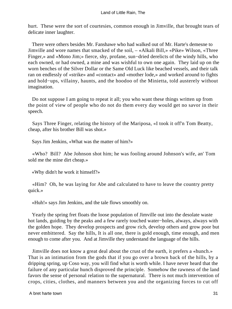hurt. These were the sort of courtesies, common enough in Jimville, that brought tears of delicate inner laughter.

 There were others besides Mr. Fanshawe who had walked out of Mr. Harte's demesne to Jimville and wore names that smacked of the soil, – «Alkali Bill,» «Pike» Wilson, «Three Finger,» and «Mono Jim;» fierce, shy, profane, sun−dried derelicts of the windy hills, who each owned, or had owned, a mine and was wishful to own one again. They laid up on the worn benches of the Silver Dollar or the Same Old Luck like beached vessels, and their talk ran on endlessly of «strike» and «contact» and «mother lode,» and worked around to fights and hold−ups, villainy, haunts, and the hoodoo of the Minietta, told austerely without imagination.

 Do not suppose I am going to repeat it all; you who want these things written up from the point of view of people who do not do them every day would get no savor in their speech.

 Says Three Finger, relating the history of the Mariposa, «I took it off'n Tom Beatty, cheap, after his brother Bill was shot.»

Says Jim Jenkins, «What was the matter of him?»

 «Who? Bill? Abe Johnson shot him; he was fooling around Johnson's wife, an' Tom sold me the mine dirt cheap.»

«Why didn't he work it himself?»

 «Him? Oh, he was laying for Abe and calculated to have to leave the country pretty quick.»

«Huh!» says Jim Jenkins, and the tale flows smoothly on.

 Yearly the spring fret floats the loose population of Jimville out into the desolate waste hot lands, guiding by the peaks and a few rarely touched water−holes, always, always with the golden hope. They develop prospects and grow rich, develop others and grow poor but never embittered. Say the hills, It is all one, there is gold enough, time enough, and men enough to come after you. And at Jimville they understand the language of the hills.

 Jimville does not know a great deal about the crust of the earth, it prefers a «hunch.» That is an intimation from the gods that if you go over a brown back of the hills, by a dripping spring, up Coso way, you will find what is worth while. I have never heard that the failure of any particular hunch disproved the principle. Somehow the rawness of the land favors the sense of personal relation to the supernatural. There is not much intervention of crops, cities, clothes, and manners between you and the organizing forces to cut off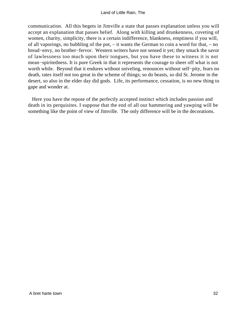communication. All this begets in Jimville a state that passes explanation unless you will accept an explanation that passes belief. Along with killing and drunkenness, coveting of women, charity, simplicity, there is a certain indifference, blankness, emptiness if you will, of all vaporings, no bubbling of the pot, – it wants the German to coin a word for that, – no bread−envy, no brother−fervor. Western writers have not sensed it yet; they smack the savor of lawlessness too much upon their tongues, but you have these to witness it is not mean−spiritedness. It is pure Greek in that it represents the courage to sheer off what is not worth while. Beyond that it endures without sniveling, renounces without self−pity, fears no death, rates itself not too great in the scheme of things; so do beasts, so did St. Jerome in the desert, so also in the elder day did gods. Life, its performance, cessation, is no new thing to gape and wonder at.

 Here you have the repose of the perfectly accepted instinct which includes passion and death in its perquisites. I suppose that the end of all our hammering and yawping will be something like the point of view of Jimville. The only difference will be in the decorations.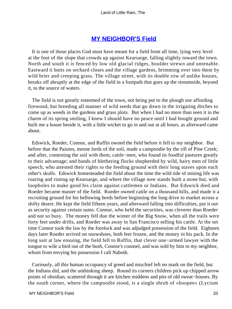## **[MY NEIGHBOR'S Field](#page-72-0)**

 It is one of those places God must have meant for a field from all time, lying very level at the foot of the slope that crowds up against Kearsarge, falling slightly toward the town. North and south it is fenced by low old glacial ridges, boulder strewn and untenable. Eastward it butts on orchard closes and the village gardens, brimming over into them by wild brier and creeping grass. The village street, with its double row of unlike houses, breaks off abruptly at the edge of the field in a footpath that goes up the streamside, beyond it, to the source of waters.

 The field is not greatly esteemed of the town, not being put to the plough nor affording firewood, but breeding all manner of wild seeds that go down in the irrigating ditches to come up as weeds in the gardens and grass plots. But when I had no more than seen it in the charm of its spring smiling, I knew I should have no peace until I had bought ground and built me a house beside it, with a little wicket to go in and out at all hours, as afterward came about.

 Edswick, Roeder, Connor, and Ruffin owned the field before it fell to my neighbor. But before that the Paiutes, mesne lords of the soil, made a campoodie by the rill of Pine Creek; and after, contesting the soil with them, cattle−men, who found its foodful pastures greatly to their advantage; and bands of blethering flocks shepherded by wild, hairy men of little speech, who attested their rights to the feeding ground with their long staves upon each other's skulls. Edswick homesteaded the field about the time the wild tide of mining life was roaring and rioting up Kearsarge, and where the village now stands built a stone hut, with loopholes to make good his claim against cattlemen or Indians. But Edswick died and Roeder became master of the field. Roeder owned cattle on a thousand hills, and made it a recruiting ground for his bellowing herds before beginning the long drive to market across a shifty desert. He kept the field fifteen years, and afterward falling into difficulties, put it out as security against certain sums. Connor, who held the securities, was cleverer than Roeder and not so busy. The money fell due the winter of the Big Snow, when all the trails were forty feet under drifts, and Roeder was away in San Francisco selling his cattle. At the set time Connor took the law by the forelock and was adjudged possession of the field. Eighteen days later Roeder arrived on snowshoes, both feet frozen, and the money in his pack. In the long suit at law ensuing, the field fell to Ruffin, that clever one−armed lawyer with the tongue to wile a bird out of the bush, Connor's counsel, and was sold by him to my neighbor, whom from envying his possession I call Naboth.

 Curiously, all this human occupancy of greed and mischief left no mark on the field, but the Indians did, and the unthinking sheep. Round its corners children pick up chipped arrow points of obsidian, scattered through it are kitchen middens and pits of old sweat−houses. By the south corner, where the campoodie stood, is a single shrub of «hoopee» (Lycium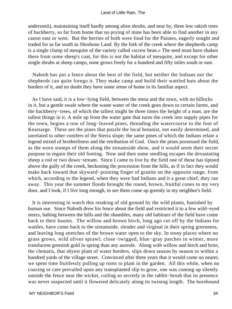andersonii), maintaining itself hardly among alien shrubs, and near by, three low rakish trees of hackberry, so far from home that no prying of mine has been able to find another in any canon east or west. But the berries of both were food for the Paiutes, eagerly sought and traded for as far south as Shoshone Land. By the fork of the creek where the shepherds camp is a single clump of mesquite of the variety called «screw bean.» The seed must have shaken there from some sheep's coat, for this is not the habitat of mesquite, and except for other single shrubs at sheep camps, none grows freely for a hundred and fifty miles south or east.

 Naboth has put a fence about the best of the field, but neither the Indians nor the shepherds can quite forego it. They make camp and build their wattled huts about the borders of it, and no doubt they have some sense of home in its familiar aspect.

 As I have said, it is a low−lying field, between the mesa and the town, with no hillocks in it, but a gentle swale where the waste water of the creek goes down to certain farms, and the hackberry−trees, of which the tallest might be three times the height of a man, are the tallest things in it. A mile up from the water gate that turns the creek into supply pipes for the town, begins a row of long−leaved pines, threading the watercourse to the foot of Kearsarge. These are the pines that puzzle the local botanist, not easily determined, and unrelated to other conifers of the Sierra slope; the same pines of which the Indians relate a legend mixed of brotherliness and the retribution of God. Once the pines possessed the field, as the worn stumps of them along the streamside show, and it would seem their secret purpose to regain their old footing. Now and then some seedling escapes the devastating sheep a rod or two down−stream. Since I came to live by the field one of these has tiptoed above the gully of the creek, beckoning the procession from the hills, as if in fact they would make back toward that skyward−pointing finger of granite on the opposite range, from which, according to the legend, when they were bad Indians and it a great chief, they ran away. This year the summer floods brought the round, brown, fruitful cones to my very door, and I look, if I live long enough, to see them come up greenly in my neighbor's field.

 It is interesting to watch this retaking of old ground by the wild plants, banished by human use. Since Naboth drew his fence about the field and restricted it to a few wild−eyed steers, halting between the hills and the shambles, many old habitues of the field have come back to their haunts. The willow and brown birch, long ago cut off by the Indians for wattles, have come back to the streamside, slender and virginal in their spring greenness, and leaving long stretches of the brown water open to the sky. In stony places where no grass grows, wild olives sprawl; close−twigged, blue−gray patches in winter, more translucent greenish gold in spring than any aureole. Along with willow and birch and brier, the clematis, that shyest plant of water borders, slips down season by season to within a hundred yards of the village street. Convinced after three years that it would come no nearer, we spent time fruitlessly pulling up roots to plant in the garden. All this while, when no coaxing or care prevailed upon any transplanted slip to grow, one was coming up silently outside the fence near the wicket, coiling so secretly in the rabbit−brush that its presence was never suspected until it flowered delicately along its twining length. The horehound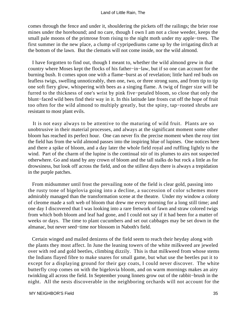comes through the fence and under it, shouldering the pickets off the railings; the brier rose mines under the horehound; and no care, though I own I am not a close weeder, keeps the small pale moons of the primrose from rising to the night moth under my apple−trees. The first summer in the new place, a clump of cypripediums came up by the irrigating ditch at the bottom of the lawn. But the clematis will not come inside, nor the wild almond.

 I have forgotten to find out, though I meant to, whether the wild almond grew in that country where Moses kept the flocks of his father−in−law, but if so one can account for the burning bush. It comes upon one with a flame−burst as of revelation; little hard red buds on leafless twigs, swelling unnoticeably, then one, two, or three strong suns, and from tip to tip one soft fiery glow, whispering with bees as a singing flame. A twig of finger size will be furred to the thickness of one's wrist by pink five−petaled bloom, so close that only the blunt−faced wild bees find their way in it. In this latitude late frosts cut off the hope of fruit too often for the wild almond to multiply greatly, but the spiny, tap−rooted shrubs are resistant to most plant evils.

 It is not easy always to be attentive to the maturing of wild fruit. Plants are so unobtrusive in their material processes, and always at the significant moment some other bloom has reached its perfect hour. One can never fix the precise moment when the rosy tint the field has from the wild almond passes into the inspiring blue of lupines. One notices here and there a spike of bloom, and a day later the whole field royal and ruffling lightly to the wind. Part of the charm of the lupine is the continual stir of its plumes to airs not suspected otherwhere. Go and stand by any crown of bloom and the tall stalks do but rock a little as for drowsiness, but look off across the field, and on the stillest days there is always a trepidation in the purple patches.

 From midsummer until frost the prevailing note of the field is clear gold, passing into the rusty tone of bigelovia going into a decline, a succession of color schemes more admirably managed than the transformation scene at the theatre. Under my window a colony of cleome made a soft web of bloom that drew me every morning for a long still time; and one day I discovered that I was looking into a rare fretwork of fawn and straw colored twigs from which both bloom and leaf had gone, and I could not say if it had been for a matter of weeks or days. The time to plant cucumbers and set out cabbages may be set down in the almanac, but never seed−time nor blossom in Naboth's field.

 Certain winged and mailed denizens of the field seem to reach their heyday along with the plants they most affect. In June the leaning towers of the white milkweed are jeweled over with red and gold beetles, climbing dizzily. This is that milkweed from whose stems the Indians flayed fibre to make snares for small game, but what use the beetles put it to except for a displaying ground for their gay coats, I could never discover. The white butterfly crop comes on with the bigelovia bloom, and on warm mornings makes an airy twinkling all across the field. In September young linnets grow out of the rabbit−brush in the night. All the nests discoverable in the neighboring orchards will not account for the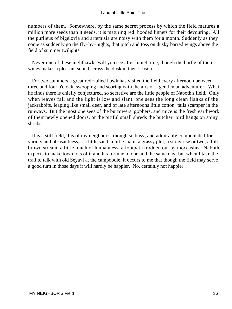numbers of them. Somewhere, by the same secret process by which the field matures a million more seeds than it needs, it is maturing red−hooded linnets for their devouring. All the purlieus of bigelovia and artemisia are noisy with them for a month. Suddenly as they come as suddenly go the fly−by−nights, that pitch and toss on dusky barred wings above the field of summer twilights.

 Never one of these nighthawks will you see after linnet time, though the hurtle of their wings makes a pleasant sound across the dusk in their season.

 For two summers a great red−tailed hawk has visited the field every afternoon between three and four o'clock, swooping and soaring with the airs of a gentleman adventurer. What he finds there is chiefly conjectured, so secretive are the little people of Naboth's field. Only when leaves fall and the light is low and slant, one sees the long clean flanks of the jackrabbits, leaping like small deer, and of late afternoons little cotton−tails scamper in the runways. But the most one sees of the burrowers, gophers, and mice is the fresh earthwork of their newly opened doors, or the pitiful small shreds the butcher−bird hangs on spiny shrubs.

 It is a still field, this of my neighbor's, though so busy, and admirably compounded for variety and pleasantness, – a little sand, a little loam, a grassy plot, a stony rise or two, a full brown stream, a little touch of humanness, a footpath trodden out by moccasins. Naboth expects to make town lots of it and his fortune in one and the same day; but when I take the trail to talk with old Seyavi at the campoodie, it occurs to me that though the field may serve a good turn in those days it will hardly be happier. No, certainly not happier.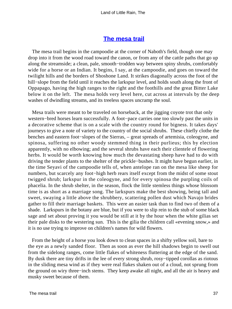## **[The mesa trail](#page-72-0)**

 The mesa trail begins in the campoodie at the corner of Naboth's field, though one may drop into it from the wood road toward the canon, or from any of the cattle paths that go up along the streamside; a clean, pale, smooth−trodden way between spiny shrubs, comfortably wide for a horse or an Indian. It begins, I say, at the campoodie, and goes on toward the twilight hills and the borders of Shoshone Land. It strikes diagonally across the foot of the hill−slope from the field until it reaches the larkspur level, and holds south along the front of Oppapago, having the high ranges to the right and the foothills and the great Bitter Lake below it on the left. The mesa holds very level here, cut across at intervals by the deep washes of dwindling streams, and its treeless spaces uncramp the soul.

 Mesa trails were meant to be traveled on horseback, at the jigging coyote trot that only western−bred horses learn successfully. A foot−pace carries one too slowly past the units in a decorative scheme that is on a scale with the country round for bigness. It takes days' journeys to give a note of variety to the country of the social shrubs. These chiefly clothe the benches and eastern foot−slopes of the Sierras, – great spreads of artemisia, coleogyne, and spinosa, suffering no other woody stemmed thing in their purlieus; this by election apparently, with no elbowing; and the several shrubs have each their clientele of flowering herbs. It would be worth knowing how much the devastating sheep have had to do with driving the tender plants to the shelter of the prickle−bushes. It might have begun earlier, in the time Seyavi of the campoodie tells of, when antelope ran on the mesa like sheep for numbers, but scarcely any foot−high herb rears itself except from the midst of some stout twigged shrub; larkspur in the coleogyne, and for every spinosa the purpling coils of phacelia. In the shrub shelter, in the season, flock the little stemless things whose blossom time is as short as a marriage song. The larkspurs make the best showing, being tall and sweet, swaying a little above the shrubbery, scattering pollen dust which Navajo brides gather to fill their marriage baskets. This were an easier task than to find two of them of a shade. Larkspurs in the botany are blue, but if you were to slip rein to the stub of some black sage and set about proving it you would be still at it by the hour when the white gilias set their pale disks to the westering sun. This is the gilia the children call «evening snow,» and it is no use trying to improve on children's names for wild flowers.

 From the height of a horse you look down to clean spaces in a shifty yellow soil, bare to the eye as a newly sanded floor. Then as soon as ever the hill shadows begin to swell out from the sidelong ranges, come little flakes of whiteness fluttering at the edge of the sand. By dusk there are tiny drifts in the lee of every strong shrub, rosy−tipped corollas as riotous in the sliding mesa wind as if they were real flakes shaken out of a cloud, not sprung from the ground on wiry three−inch stems. They keep awake all night, and all the air is heavy and musky sweet because of them.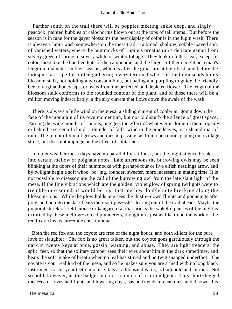Farther south on the trail there will be poppies meeting ankle deep, and singly, peacock−painted bubbles of calochortus blown out at the tops of tall stems. But before the season is in tune for the gayer blossoms the best display of color is in the lupin wash. There is always a lupin wash somewhere on the mesa trail, – a broad, shallow, cobble−paved sink of vanished waters, where the hummocks of Lupinus ornatus run a delicate gamut from silvery green of spring to silvery white of winter foliage. They look in fullest leaf, except for color, most like the huddled huts of the campoodie, and the largest of them might be a man's length in diameter. In their season, which is after the gilias are at their best, and before the larkspurs are ripe for pollen gathering, every terminal whorl of the lupin sends up its blossom stalk, not holding any constant blue, but paling and purpling to guide the friendly bee to virginal honey sips, or away from the perfected and depleted flower. The length of the blossom stalk conforms to the rounded contour of the plant, and of these there will be a million moving indescribably in the airy current that flows down the swale of the wash.

 There is always a little wind on the mesa, a sliding current of cooler air going down the face of the mountain of its own momentum, but not to disturb the silence of great space. Passing the wide mouths of canons, one gets the effect of whatever is doing in them, openly or behind a screen of cloud, – thunder of falls, wind in the pine leaves, or rush and roar of rain. The rumor of tumult grows and dies in passing, as from open doors gaping on a village street, but does not impinge on the effect of solitariness.

 In quiet weather mesa days have no parallel for stillness, but the night silence breaks into certain mellow or poignant notes. Late afternoons the burrowing owls may be seen blinking at the doors of their hummocks with perhaps four or five elfish nestlings arow, and by twilight begin a soft whoo−oo−ing, rounder, sweeter, more incessant in mating time. It is not possible to disassociate the call of the burrowing owl from the late slant light of the mesa. If the fine vibrations which are the golden−violet glow of spring twilights were to tremble into sound, it would be just that mellow double note breaking along the blossom−tops. While the glow holds one sees the thistle−down flights and pouncings after prey, and on into the dark hears their soft pus−ssh! clearing out of the trail ahead. Maybe the pinpoint shriek of field mouse or kangaroo rat that pricks the wakeful pauses of the night is extorted by these mellow−voiced plunderers, though it is just as like to be the work of the red fox on his twenty−mile constitutional.

 Both the red fox and the coyote are free of the night hours, and both killers for the pure love of slaughter. The fox is no great talker, but the coyote goes garrulously through the dark in twenty keys at once, gossip, warning, and abuse. They are light treaders, the split−feet, so that the solitary camper sees their eyes about him in the dark sometimes, and hears the soft intake of breath when no leaf has stirred and no twig snapped underfoot. The coyote is your real lord of the mesa, and so he makes sure you are armed with no long black instrument to spit your teeth into his vitals at a thousand yards, is both bold and curious. Not so bold, however, as the badger and not so much of a curmudgeon. This short−legged meat−eater loves half lights and lowering days, has no friends, no enemies, and disowns his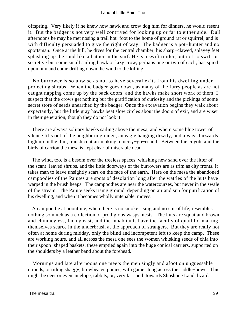offspring. Very likely if he knew how hawk and crow dog him for dinners, he would resent it. But the badger is not very well contrived for looking up or far to either side. Dull afternoons he may be met nosing a trail hot−foot to the home of ground rat or squirrel, and is with difficulty persuaded to give the right of way. The badger is a pot−hunter and no sportsman. Once at the hill, he dives for the central chamber, his sharp−clawed, splayey feet splashing up the sand like a bather in the surf. He is a swift trailer, but not so swift or secretive but some small sailing hawk or lazy crow, perhaps one or two of each, has spied upon him and come drifting down the wind to the killing.

 No burrower is so unwise as not to have several exits from his dwelling under protecting shrubs. When the badger goes down, as many of the furry people as are not caught napping come up by the back doors, and the hawks make short work of them. I suspect that the crows get nothing but the gratification of curiosity and the pickings of some secret store of seeds unearthed by the badger. Once the excavation begins they walk about expectantly, but the little gray hawks beat slow circles about the doors of exit, and are wiser in their generation, though they do not look it.

 There are always solitary hawks sailing above the mesa, and where some blue tower of silence lifts out of the neighboring range, an eagle hanging dizzily, and always buzzards high up in the thin, translucent air making a merry−go−round. Between the coyote and the birds of carrion the mesa is kept clear of miserable dead.

 The wind, too, is a besom over the treeless spaces, whisking new sand over the litter of the scant−leaved shrubs, and the little doorways of the burrowers are as trim as city fronts. It takes man to leave unsightly scars on the face of the earth. Here on the mesa the abandoned campoodies of the Paiutes are spots of desolation long after the wattles of the huts have warped in the brush heaps. The campoodies are near the watercourses, but never in the swale of the stream. The Paiute seeks rising ground, depending on air and sun for purification of his dwelling, and when it becomes wholly untenable, moves.

 A campoodie at noontime, when there is no smoke rising and no stir of life, resembles nothing so much as a collection of prodigious wasps' nests. The huts are squat and brown and chimneyless, facing east, and the inhabitants have the faculty of quail for making themselves scarce in the underbrush at the approach of strangers. But they are really not often at home during midday, only the blind and incompetent left to keep the camp. These are working hours, and all across the mesa one sees the women whisking seeds of chia into their spoon−shaped baskets, these emptied again into the huge conical carriers, supported on the shoulders by a leather band about the forehead.

 Mornings and late afternoons one meets the men singly and afoot on unguessable errands, or riding shaggy, browbeaten ponies, with game slung across the saddle−bows. This might be deer or even antelope, rabbits, or, very far south towards Shoshone Land, lizards.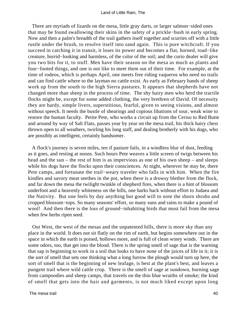There are myriads of lizards on the mesa, little gray darts, or larger salmon−sided ones that may be found swallowing their skins in the safety of a prickle−bush in early spring. Now and then a palm's breadth of the trail gathers itself together and scurries off with a little rustle under the brush, to resolve itself into sand again. This is pure witchcraft. If you succeed in catching it in transit, it loses its power and becomes a flat, horned, toad−like creature, horrid−looking and harmless, of the color of the soil; and the curio dealer will give you two bits for it, to stuff. Men have their season on the mesa as much as plants and four−footed things, and one is not like to meet them out of their time. For example, at the time of rodeos, which is perhaps April, one meets free riding vaqueros who need no trails and can find cattle where to the layman no cattle exist. As early as February bands of sheep work up from the south to the high Sierra pastures. It appears that shepherds have not changed more than sheep in the process of time. The shy hairy men who herd the tractile flocks might be, except for some added clothing, the very brethren of David. Of necessity they are hardy, simple livers, superstitious, fearful, given to seeing visions, and almost without speech. It needs the bustle of shearings and copious libations of sour, weak wine to restore the human faculty. Petite Pete, who works a circuit up from the Ceriso to Red Butte and around by way of Salt Flats, passes year by year on the mesa trail, his thick hairy chest thrown open to all weathers, twirling his long staff, and dealing brotherly with his dogs, who are possibly as intelligent, certainly handsomer.

 A flock's journey is seven miles, ten if pasture fails, in a windless blur of dust, feeding as it goes, and resting at noons. Such hours Pete weaves a little screen of twigs between his head and the sun – the rest of him is as impervious as one of his own sheep – and sleeps while his dogs have the flocks upon their consciences. At night, wherever he may be, there Pete camps, and fortunate the trail−weary traveler who falls in with him. When the fire kindles and savory meat seethes in the pot, when there is a drowsy blether from the flock, and far down the mesa the twilight twinkle of shepherd fires, when there is a hint of blossom underfoot and a heavenly whiteness on the hills, one harks back without effort to Judaea and the Nativity. But one feels by day anything but good will to note the shorn shrubs and cropped blossom−tops. So many seasons' effort, so many suns and rains to make a pound of wool! And then there is the loss of ground–inhabiting birds that must fail from the mesa when few herbs ripen seed.

 Out West, the west of the mesas and the unpatented hills, there is more sky than any place in the world. It does not sit flatly on the rim of earth, but begins somewhere out in the space in which the earth is poised, hollows more, and is full of clean winey winds. There are some odors, too, that get into the blood. There is the spring smell of sage that is the warning that sap is beginning to work in a soil that looks to have none of the juices of life in it; it is the sort of smell that sets one thinking what a long furrow the plough would turn up here, the sort of smell that is the beginning of new leafage, is best at the plant's best, and leaves a pungent trail where wild cattle crop. There is the smell of sage at sundown, burning sage from campoodies and sheep camps, that travels on the thin blue wraiths of smoke; the kind of smell that gets into the hair and garments, is not much liked except upon long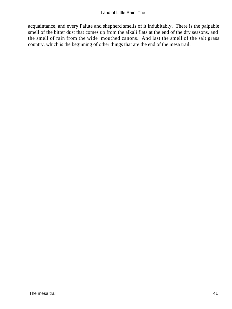acquaintance, and every Paiute and shepherd smells of it indubitably. There is the palpable smell of the bitter dust that comes up from the alkali flats at the end of the dry seasons, and the smell of rain from the wide−mouthed canons. And last the smell of the salt grass country, which is the beginning of other things that are the end of the mesa trail.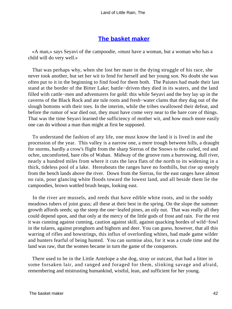# **[The basket maker](#page-72-0)**

 «A man,» says Seyavi of the campoodie, «must have a woman, but a woman who has a child will do very well.»

 That was perhaps why, when she lost her mate in the dying struggle of his race, she never took another, but set her wit to fend for herself and her young son. No doubt she was often put to it in the beginning to find food for them both. The Paiutes had made their last stand at the border of the Bitter Lake; battle−driven they died in its waters, and the land filled with cattle−men and adventurers for gold: this while Seyavi and the boy lay up in the caverns of the Black Rock and ate tule roots and fresh−water clams that they dug out of the slough bottoms with their toes. In the interim, while the tribes swallowed their defeat, and before the rumor of war died out, they must have come very near to the bare core of things. That was the time Seyavi learned the sufficiency of mother wit, and how much more easily one can do without a man than might at first be supposed.

 To understand the fashion of any life, one must know the land it is lived in and the procession of the year. This valley is a narrow one, a mere trough between hills, a draught for storms, hardly a crow's flight from the sharp Sierras of the Snows to the curled, red and ochre, uncomforted, bare ribs of Waban. Midway of the groove runs a burrowing, dull river, nearly a hundred miles from where it cuts the lava flats of the north to its widening in a thick, tideless pool of a lake. Hereabouts the ranges have no foothills, but rise up steeply from the bench lands above the river. Down from the Sierras, for the east ranges have almost no rain, pour glancing white floods toward the lowest land, and all beside them lie the campoodies, brown wattled brush heaps, looking east.

 In the river are mussels, and reeds that have edible white roots, and in the soddy meadows tubers of joint grass; all these at their best in the spring. On the slope the summer growth affords seeds; up the steep the one−leafed pines, an oily nut. That was really all they could depend upon, and that only at the mercy of the little gods of frost and rain. For the rest it was cunning against cunning, caution against skill, against quacking hordes of wild−fowl in the tulares, against pronghorn and bighorn and deer. You can guess, however, that all this warring of rifles and bowstrings, this influx of overlording whites, had made game wilder and hunters fearful of being hunted. You can surmise also, for it was a crude time and the land was raw, that the women became in turn the game of the conquerors.

 There used to be in the Little Antelope a she dog, stray or outcast, that had a litter in some forsaken lair, and ranged and foraged for them, slinking savage and afraid, remembering and mistrusting humankind, wistful, lean, and sufficient for her young.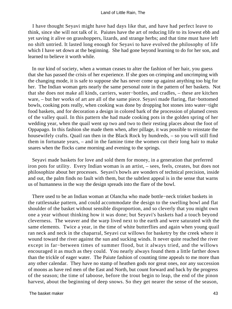I have thought Seyavi might have had days like that, and have had perfect leave to think, since she will not talk of it. Paiutes have the art of reducing life to its lowest ebb and yet saving it alive on grasshoppers, lizards, and strange herbs; and that time must have left no shift untried. It lasted long enough for Seyavi to have evolved the philosophy of life which I have set down at the beginning. She had gone beyond learning to do for her son, and learned to believe it worth while.

 In our kind of society, when a woman ceases to alter the fashion of her hair, you guess that she has passed the crisis of her experience. If she goes on crimping and uncrimping with the changing mode, it is safe to suppose she has never come up against anything too big for her. The Indian woman gets nearly the same personal note in the pattern of her baskets. Not that she does not make all kinds, carriers, water−bottles, and cradles, – these are kitchen ware, – but her works of art are all of the same piece. Seyavi made flaring, flat−bottomed bowls, cooking pots really, when cooking was done by dropping hot stones into water−tight food baskets, and for decoration a design in colored bark of the procession of plumed crests of the valley quail. In this pattern she had made cooking pots in the golden spring of her wedding year, when the quail went up two and two to their resting places about the foot of Oppapago. In this fashion she made them when, after pillage, it was possible to reinstate the housewifely crafts. Quail ran then in the Black Rock by hundreds, – so you will still find them in fortunate years, – and in the famine time the women cut their long hair to make snares when the flocks came morning and evening to the springs.

 Seyavi made baskets for love and sold them for money, in a generation that preferred iron pots for utility. Every Indian woman is an artist, – sees, feels, creates, but does not philosophize about her processes. Seyavi's bowls are wonders of technical precision, inside and out, the palm finds no fault with them, but the subtlest appeal is in the sense that warns us of humanness in the way the design spreads into the flare of the bowl.

 There used to be an Indian woman at Olancha who made bottle−neck trinket baskets in the rattlesnake pattern, and could accommodate the design to the swelling bowl and flat shoulder of the basket without sensible disproportion, and so cleverly that you might own one a year without thinking how it was done; but Seyavi's baskets had a touch beyond cleverness. The weaver and the warp lived next to the earth and were saturated with the same elements. Twice a year, in the time of white butterflies and again when young quail ran neck and neck in the chaparral, Seyavi cut willows for basketry by the creek where it wound toward the river against the sun and sucking winds. It never quite reached the river except in far−between times of summer flood, but it always tried, and the willows encouraged it as much as they could. You nearly always found them a little farther down than the trickle of eager water. The Paiute fashion of counting time appeals to me more than any other calendar. They have no stamp of heathen gods nor great ones, nor any succession of moons as have red men of the East and North, but count forward and back by the progress of the season; the time of taboose, before the trout begin to leap, the end of the pinon harvest, about the beginning of deep snows. So they get nearer the sense of the season,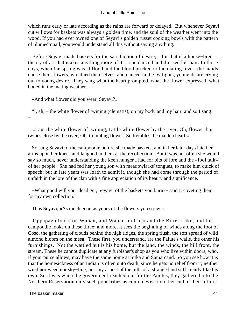which runs early or late according as the rains are forward or delayed. But whenever Seyavi cut willows for baskets was always a golden time, and the soul of the weather went into the wood. If you had ever owned one of Seyavi's golden russet cooking bowls with the pattern of plumed quail, you would understand all this without saying anything.

 Before Seyavi made baskets for the satisfaction of desire, – for that is a house−bred theory of art that makes anything more of it, – she danced and dressed her hair. In those days, when the spring was at flood and the blood pricked to the mating fever, the maids chose their flowers, wreathed themselves, and danced in the twilights, young desire crying out to young desire. They sang what the heart prompted, what the flower expressed, what boded in the mating weather.

«And what flower did you wear, Seyavi?»

 "I, ah, – the white flower of twining (clematis), on my body and my hair, and so I sang: –

 «I am the white flower of twining, Little white flower by the river, Oh, flower that twines close by the river; Oh, trembling flower! So trembles the maiden heart.»

 So sang Seyavi of the campoodie before she made baskets, and in her later days laid her arms upon her knees and laughed in them at the recollection. But it was not often she would say so much, never understanding the keen hunger I had for bits of lore and the «fool talk» of her people. She had fed her young son with meadowlarks' tongues, to make him quick of speech; but in late years was loath to admit it, though she had come through the period of unfaith in the lore of the clan with a fine appreciation of its beauty and significance.

 «What good will your dead get, Seyavi, of the baskets you burn?» said I, coveting them for my own collection.

Thus Seyavi, «As much good as yours of the flowers you strew.»

 Oppapago looks on Waban, and Waban on Coso and the Bitter Lake, and the campoodie looks on these three; and more, it sees the beginning of winds along the foot of Coso, the gathering of clouds behind the high ridges, the spring flush, the soft spread of wild almond bloom on the mesa. These first, you understand, are the Paiute's walls, the other his furnishings. Not the wattled hut is his home, but the land, the winds, the hill front, the stream. These he cannot duplicate at any furbisher's shop as you who live within doors, who, if your purse allows, may have the same home at Sitka and Samarcand. So you see how it is that the homesickness of an Indian is often unto death, since he gets no relief from it; neither wind nor weed nor sky−line, nor any aspect of the hills of a strange land sufficiently like his own. So it was when the government reached out for the Paiutes, they gathered into the Northern Reservation only such poor tribes as could devise no other end of their affairs.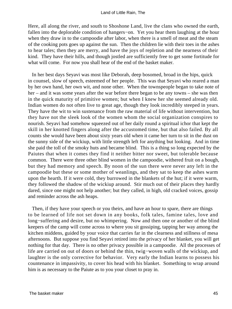Here, all along the river, and south to Shoshone Land, live the clans who owned the earth, fallen into the deplorable condition of hangers−on. Yet you hear them laughing at the hour when they draw in to the campoodie after labor, when there is a smell of meat and the steam of the cooking pots goes up against the sun. Then the children lie with their toes in the ashes to hear tales; then they are merry, and have the joys of repletion and the nearness of their kind. They have their hills, and though jostled are sufficiently free to get some fortitude for what will come. For now you shall hear of the end of the basket maker.

 In her best days Seyavi was most like Deborah, deep bosomed, broad in the hips, quick in counsel, slow of speech, esteemed of her people. This was that Seyavi who reared a man by her own hand, her own wit, and none other. When the townspeople began to take note of her – and it was some years after the war before there began to be any towns – she was then in the quick maturity of primitive women; but when I knew her she seemed already old. Indian women do not often live to great age, though they look incredibly steeped in years. They have the wit to win sustenance from the raw material of life without intervention, but they have not the sleek look of the women whom the social organization conspires to nourish. Seyavi had somehow squeezed out of her daily round a spiritual ichor that kept the skill in her knotted fingers along after the accustomed time, but that also failed. By all counts she would have been about sixty years old when it came her turn to sit in the dust on the sunny side of the wickiup, with little strength left for anything but looking. And in time she paid the toll of the smoky huts and became blind. This is a thing so long expected by the Paiutes that when it comes they find it neither bitter nor sweet, but tolerable because common. There were three other blind women in the campoodie, withered fruit on a bough, but they had memory and speech. By noon of the sun there were never any left in the campoodie but these or some mother of weanlings, and they sat to keep the ashes warm upon the hearth. If it were cold, they burrowed in the blankets of the hut; if it were warm, they followed the shadow of the wickiup around. Stir much out of their places they hardly dared, since one might not help another; but they called, in high, old cracked voices, gossip and reminder across the ash heaps.

 Then, if they have your speech or you theirs, and have an hour to spare, there are things to be learned of life not set down in any books, folk tales, famine tales, love and long−suffering and desire, but no whimpering. Now and then one or another of the blind keepers of the camp will come across to where you sit gossiping, tapping her way among the kitchen middens, guided by your voice that carries far in the clearness and stillness of mesa afternoons. But suppose you find Seyavi retired into the privacy of her blanket, you will get nothing for that day. There is no other privacy possible in a campoodie. All the processes of life are carried on out of doors or behind the thin, twig−woven walls of the wickiup, and laughter is the only corrective for behavior. Very early the Indian learns to possess his countenance in impassivity, to cover his head with his blanket. Something to wrap around him is as necessary to the Paiute as to you your closet to pray in.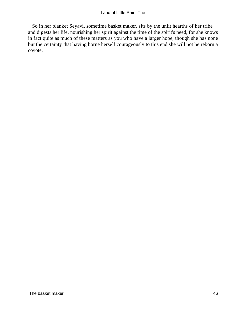So in her blanket Seyavi, sometime basket maker, sits by the unlit hearths of her tribe and digests her life, nourishing her spirit against the time of the spirit's need, for she knows in fact quite as much of these matters as you who have a larger hope, though she has none but the certainty that having borne herself courageously to this end she will not be reborn a coyote.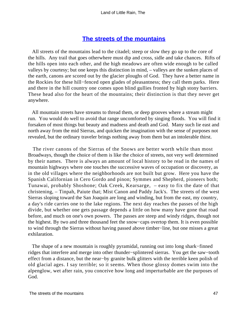# **[The streets of the mountains](#page-72-0)**

 All streets of the mountains lead to the citadel; steep or slow they go up to the core of the hills. Any trail that goes otherwhere must dip and cross, sidle and take chances. Rifts of the hills open into each other, and the high meadows are often wide enough to be called valleys by courtesy; but one keeps this distinction in mind, – valleys are the sunken places of the earth, canons are scored out by the glacier ploughs of God. They have a better name in the Rockies for these hill−fenced open glades of pleasantness; they call them parks. Here and there in the hill country one comes upon blind gullies fronted by high stony barriers. These head also for the heart of the mountains; their distinction is that they never get anywhere.

 All mountain streets have streams to thread them, or deep grooves where a stream might run. You would do well to avoid that range uncomforted by singing floods. You will find it forsaken of most things but beauty and madness and death and God. Many such lie east and north away from the mid Sierras, and quicken the imagination with the sense of purposes not revealed, but the ordinary traveler brings nothing away from them but an intolerable thirst.

 The river canons of the Sierras of the Snows are better worth while than most Broadways, though the choice of them is like the choice of streets, not very well determined by their names. There is always an amount of local history to be read in the names of mountain highways where one touches the successive waves of occupation or discovery, as in the old villages where the neighborhoods are not built but grow. Here you have the Spanish Californian in Cero Gordo and pinon; Symmes and Shepherd, pioneers both; Tunawai, probably Shoshone; Oak Creek, Kearsarge, – easy to fix the date of that christening, – Tinpah, Paiute that; Mist Canon and Paddy Jack's. The streets of the west Sierras sloping toward the San Joaquin are long and winding, but from the east, my country, a day's ride carries one to the lake regions. The next day reaches the passes of the high divide, but whether one gets passage depends a little on how many have gone that road before, and much on one's own powers. The passes are steep and windy ridges, though not the highest. By two and three thousand feet the snow−caps overtop them. It is even possible to wind through the Sierras without having passed above timber−line, but one misses a great exhilaration.

 The shape of a new mountain is roughly pyramidal, running out into long shark−finned ridges that interfere and merge into other thunder−splintered sierras. You get the saw−tooth effect from a distance, but the near−by granite bulk glitters with the terrible keen polish of old glacial ages. I say terrible; so it seems. When those glossy domes swim into the alpenglow, wet after rain, you conceive how long and imperturbable are the purposes of God.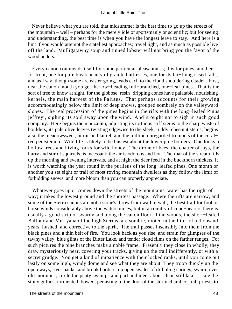Never believe what you are told, that midsummer is the best time to go up the streets of the mountain – well – perhaps for the merely idle or sportsmanly or scientific; but for seeing and understanding, the best time is when you have the longest leave to stay. And here is a hint if you would attempt the stateliest approaches; travel light, and as much as possible live off the land. Mulligatawny soup and tinned lobster will not bring you the favor of the woodlanders.

 Every canon commends itself for some particular pleasantness; this for pines, another for trout, one for pure bleak beauty of granite buttresses, one for its far−flung irised falls; and as I say, though some are easier going, leads each to the cloud shouldering citadel. First, near the canon mouth you get the low−heading full−branched, one−leaf pines. That is the sort of tree to know at sight, for the globose, resin−dripping cones have palatable, nourishing kernels, the main harvest of the Paiutes. That perhaps accounts for their growing accommodatingly below the limit of deep snows, grouped sombrely on the valleyward slopes. The real procession of the pines begins in the rifts with the long−leafed Pinus jeffreyi, sighing its soul away upon the wind. And it ought not to sigh in such good company. Here begins the manzanita, adjusting its tortuous stiff stems to the sharp waste of boulders, its pale olive leaves twisting edgewise to the sleek, ruddy, chestnut stems; begins also the meadowsweet, burnished laurel, and the million unregarded trumpets of the coral− red pentstemon. Wild life is likely to be busiest about the lower pine borders. One looks in hollow trees and hiving rocks for wild honey. The drone of bees, the chatter of jays, the hurry and stir of squirrels, is incessant; the air is odorous and hot. The roar of the stream fills up the morning and evening intervals, and at night the deer feed in the buckthorn thickets. It is worth watching the year round in the purlieus of the long−leafed pines. One month or another you set sight or trail of most roving mountain dwellers as they follow the limit of forbidding snows, and more bloom than you can properly appreciate.

 Whatever goes up or comes down the streets of the mountains, water has the right of way; it takes the lowest ground and the shortest passage. Where the rifts are narrow, and some of the Sierra canons are not a stone's throw from wall to wall, the best trail for foot or horse winds considerably above the watercourses; but in a country of cone−bearers there is usually a good strip of swardy sod along the canon floor. Pine woods, the short−leafed Balfour and Murryana of the high Sierras, are sombre, rooted in the litter of a thousand years, hushed, and corrective to the spirit. The trail passes insensibly into them from the black pines and a thin belt of firs. You look back as you rise, and strain for glimpses of the tawny valley, blue glints of the Bitter Lake, and tender cloud films on the farther ranges. For such pictures the pine branches make a noble frame. Presently they close in wholly; they draw mysteriously near, covering your tracks, giving up the trail indifferently, or with a secret grudge. You get a kind of impatience with their locked ranks, until you come out lastly on some high, windy dome and see what they are about. They troop thickly up the open ways, river banks, and brook borders; up open swales of dribbling springs; swarm over old moraines; circle the peaty swamps and part and meet about clean still lakes; scale the stony gullies; tormented, bowed, persisting to the door of the storm chambers, tall priests to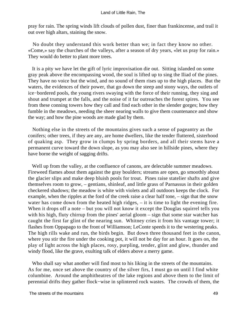pray for rain. The spring winds lift clouds of pollen dust, finer than frankincense, and trail it out over high altars, staining the snow.

 No doubt they understand this work better than we; in fact they know no other. «Come,» say the churches of the valleys, after a season of dry years, «let us pray for rain.» They would do better to plant more trees.

 It is a pity we have let the gift of lyric improvisation die out. Sitting islanded on some gray peak above the encompassing wood, the soul is lifted up to sing the Iliad of the pines. They have no voice but the wind, and no sound of them rises up to the high places. But the waters, the evidences of their power, that go down the steep and stony ways, the outlets of ice−bordered pools, the young rivers swaying with the force of their running, they sing and shout and trumpet at the falls, and the noise of it far outreaches the forest spires. You see from these conning towers how they call and find each other in the slender gorges; how they fumble in the meadows, needing the sheer nearing walls to give them countenance and show the way; and how the pine woods are made glad by them.

 Nothing else in the streets of the mountains gives such a sense of pageantry as the conifers; other trees, if they are any, are home dwellers, like the tender fluttered, sisterhood of quaking asp. They grow in clumps by spring borders, and all their stems have a permanent curve toward the down slope, as you may also see in hillside pines, where they have borne the weight of sagging drifts.

 Well up from the valley, at the confluence of canons, are delectable summer meadows. Fireweed flames about them against the gray boulders; streams are open, go smoothly about the glacier slips and make deep bluish pools for trout. Pines raise statelier shafts and give themselves room to grow, – gentians, shinleaf, and little grass of Parnassus in their golden checkered shadows; the meadow is white with violets and all outdoors keeps the clock. For example, when the ripples at the ford of the creek raise a clear half tone, – sign that the snow water has come down from the heated high ridges, – it is time to light the evening fire. When it drops off a note – but you will not know it except the Douglas squirrel tells you with his high, fluty chirrup from the pines' aerial gloom – sign that some star watcher has caught the first far glint of the nearing sun. Whitney cries it from his vantage tower; it flashes from Oppapago to the front of Williamson; LeConte speeds it to the westering peaks. The high rills wake and run, the birds begin. But down three thousand feet in the canon, where you stir the fire under the cooking pot, it will not be day for an hour. It goes on, the play of light across the high places, rosy, purpling, tender, glint and glow, thunder and windy flood, like the grave, exulting talk of elders above a merry game.

 Who shall say what another will find most to his liking in the streets of the mountains. As for me, once set above the country of the silver firs, I must go on until I find white columbine. Around the amphitheatres of the lake regions and above them to the limit of perennial drifts they gather flock−wise in splintered rock wastes. The crowds of them, the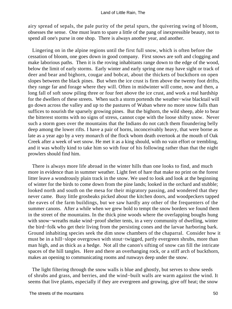airy spread of sepals, the pale purity of the petal spurs, the quivering swing of bloom, obsesses the sense. One must learn to spare a little of the pang of inexpressible beauty, not to spend all one's purse in one shop. There is always another year, and another.

 Lingering on in the alpine regions until the first full snow, which is often before the cessation of bloom, one goes down in good company. First snows are soft and clogging and make laborious paths. Then it is the roving inhabitants range down to the edge of the wood, below the limit of early storms. Early winter and early spring one may have sight or track of deer and bear and bighorn, cougar and bobcat, about the thickets of buckthorn on open slopes between the black pines. But when the ice crust is firm above the twenty foot drifts, they range far and forage where they will. Often in midwinter will come, now and then, a long fall of soft snow piling three or four feet above the ice crust, and work a real hardship for the dwellers of these streets. When such a storm portends the weather−wise blacktail will go down across the valley and up to the pastures of Waban where no more snow falls than suffices to nourish the sparsely growing pines. But the bighorn, the wild sheep, able to bear the bitterest storms with no signs of stress, cannot cope with the loose shifty snow. Never such a storm goes over the mountains that the Indians do not catch them floundering belly deep among the lower rifts. I have a pair of horns, inconceivably heavy, that were borne as late as a year ago by a very monarch of the flock whom death overtook at the mouth of Oak Creek after a week of wet snow. He met it as a king should, with no vain effort or trembling, and it was wholly kind to take him so with four of his following rather than that the night prowlers should find him.

 There is always more life abroad in the winter hills than one looks to find, and much more in evidence than in summer weather. Light feet of hare that make no print on the forest litter leave a wondrously plain track in the snow. We used to look and look at the beginning of winter for the birds to come down from the pine lands; looked in the orchard and stubble; looked north and south on the mesa for their migratory passing, and wondered that they never came. Busy little grosbeaks picked about the kitchen doors, and woodpeckers tapped the eaves of the farm buildings, but we saw hardly any other of the frequenters of the summer canons. After a while when we grew bold to tempt the snow borders we found them in the street of the mountains. In the thick pine woods where the overlapping boughs hung with snow−wreaths make wind−proof shelter tents, in a very community of dwelling, winter the bird−folk who get their living from the persisting cones and the larvae harboring bark. Ground inhabiting species seek the dim snow chambers of the chaparral. Consider how it must be in a hill−slope overgrown with stout−twigged, partly evergreen shrubs, more than man high, and as thick as a hedge. Not all the canon's sifting of snow can fill the intricate spaces of the hill tangles. Here and there an overhanging rock, or a stiff arch of buckthorn, makes an opening to communicating rooms and runways deep under the snow.

 The light filtering through the snow walls is blue and ghostly, but serves to show seeds of shrubs and grass, and berries, and the wind−built walls are warm against the wind. It seems that live plants, especially if they are evergreen and growing, give off heat; the snow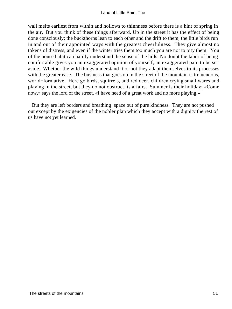wall melts earliest from within and hollows to thinnness before there is a hint of spring in the air. But you think of these things afterward. Up in the street it has the effect of being done consciously; the buckthorns lean to each other and the drift to them, the little birds run in and out of their appointed ways with the greatest cheerfulness. They give almost no tokens of distress, and even if the winter tries them too much you are not to pity them. You of the house habit can hardly understand the sense of the hills. No doubt the labor of being comfortable gives you an exaggerated opinion of yourself, an exaggerated pain to be set aside. Whether the wild things understand it or not they adapt themselves to its processes with the greater ease. The business that goes on in the street of the mountain is tremendous, world−formative. Here go birds, squirrels, and red deer, children crying small wares and playing in the street, but they do not obstruct its affairs. Summer is their holiday; «Come now,» says the lord of the street, «I have need of a great work and no more playing.»

 But they are left borders and breathing−space out of pure kindness. They are not pushed out except by the exigencies of the nobler plan which they accept with a dignity the rest of us have not yet learned.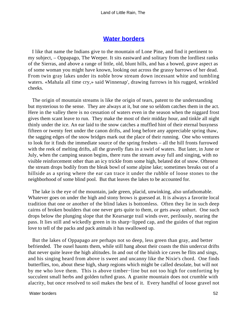### **[Water borders](#page-72-0)**

 I like that name the Indians give to the mountain of Lone Pine, and find it pertinent to my subject, – Oppapago, The Weeper. It sits eastward and solitary from the lordliest ranks of the Sierras, and above a range of little, old, blunt hills, and has a bowed, grave aspect as of some woman you might have known, looking out across the grassy barrows of her dead. From twin gray lakes under its noble brow stream down incessant white and tumbling waters. «Mahala all time cry,» said Winnenap', drawing furrows in his rugged, wrinkled cheeks.

 The origin of mountain streams is like the origin of tears, patent to the understanding but mysterious to the sense. They are always at it, but one so seldom catches them in the act. Here in the valley there is no cessation of waters even in the season when the niggard frost gives them scant leave to run. They make the most of their midday hour, and tinkle all night thinly under the ice. An ear laid to the snow catches a muffled hint of their eternal busyness fifteen or twenty feet under the canon drifts, and long before any appreciable spring thaw, the sagging edges of the snow bridges mark out the place of their running. One who ventures to look for it finds the immediate source of the spring freshets – all the hill fronts furrowed with the reek of melting drifts, all the gravelly flats in a swirl of waters. But later, in June or July, when the camping season begins, there runs the stream away full and singing, with no visible reinforcement other than an icy trickle from some high, belated dot of snow. Oftenest the stream drops bodily from the bleak bowl of some alpine lake; sometimes breaks out of a hillside as a spring where the ear can trace it under the rubble of loose stones to the neighborhood of some blind pool. But that leaves the lakes to be accounted for.

 The lake is the eye of the mountain, jade green, placid, unwinking, also unfathomable. Whatever goes on under the high and stony brows is guessed at. It is always a favorite local tradition that one or another of the blind lakes is bottomless. Often they lie in such deep cairns of broken boulders that one never gets quite to them, or gets away unhurt. One such drops below the plunging slope that the Kearsarge trail winds over, perilously, nearing the pass. It lies still and wickedly green in its sharp−lipped cap, and the guides of that region love to tell of the packs and pack animals it has swallowed up.

 But the lakes of Oppapago are perhaps not so deep, less green than gray, and better befriended. The ousel haunts them, while still hang about their coasts the thin undercut drifts that never quite leave the high altitudes. In and out of the bluish ice caves he flits and sings, and his singing heard from above is sweet and uncanny like the Nixie's chord. One finds butterflies, too, about these high, sharp regions which might be called desolate, but will not by me who love them. This is above timber−line but not too high for comforting by succulent small herbs and golden tufted grass. A granite mountain does not crumble with alacrity, but once resolved to soil makes the best of it. Every handful of loose gravel not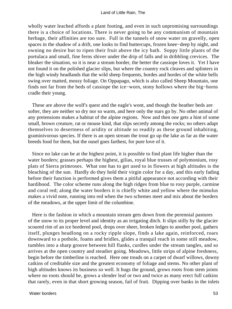wholly water leached affords a plant footing, and even in such unpromising surroundings there is a choice of locations. There is never going to be any communism of mountain herbage, their affinities are too sure. Full in the tunnels of snow water on gravelly, open spaces in the shadow of a drift, one looks to find buttercups, frozen knee−deep by night, and owning no desire but to ripen their fruit above the icy bath. Soppy little plants of the portulaca and small, fine ferns shiver under the drip of falls and in dribbling crevices. The bleaker the situation, so it is near a stream border, the better the cassiope loves it. Yet I have not found it on the polished glacier slips, but where the country rock cleaves and splinters in the high windy headlands that the wild sheep frequents, hordes and hordes of the white bells swing over matted, mossy foliage. On Oppapago, which is also called Sheep Mountain, one finds not far from the beds of cassiope the ice−worn, stony hollows where the big−horns cradle their young.

 These are above the wolf's quest and the eagle's wont, and though the heather beds are softer, they are neither so dry nor so warm, and here only the stars go by. No other animal of any pretensions makes a habitat of the alpine regions. Now and then one gets a hint of some small, brown creature, rat or mouse kind, that slips secretly among the rocks; no others adapt themselves to desertness of aridity or altitude so readily as these ground inhabiting, graminivorous species. If there is an open stream the trout go up the lake as far as the water breeds food for them, but the ousel goes farthest, for pure love of it.

 Since no lake can be at the highest point, it is possible to find plant life higher than the water borders; grasses perhaps the highest, gilias, royal blue trusses of polymonium, rosy plats of Sierra primroses. What one has to get used to in flowers at high altitudes is the bleaching of the sun. Hardly do they hold their virgin color for a day, and this early fading before their function is performed gives them a pitiful appearance not according with their hardihood. The color scheme runs along the high ridges from blue to rosy purple, carmine and coral red; along the water borders it is chiefly white and yellow where the mimulus makes a vivid note, running into red when the two schemes meet and mix about the borders of the meadows, at the upper limit of the columbine.

 Here is the fashion in which a mountain stream gets down from the perennial pastures of the snow to its proper level and identity as an irrigating ditch. It slips stilly by the glacier scoured rim of an ice bordered pool, drops over sheer, broken ledges to another pool, gathers itself, plunges headlong on a rocky ripple slope, finds a lake again, reinforced, roars downward to a pothole, foams and bridles, glides a tranquil reach in some still meadow, tumbles into a sharp groove between hill flanks, curdles under the stream tangles, and so arrives at the open country and steadier going. Meadows, little strips of alpine freshness, begin before the timberline is reached. Here one treads on a carpet of dwarf willows, downy catkins of creditable size and the greatest economy of foliage and stems. No other plant of high altitudes knows its business so well. It hugs the ground, grows roots from stem joints where no roots should be, grows a slender leaf or two and twice as many erect full catkins that rarely, even in that short growing season, fail of fruit. Dipping over banks in the inlets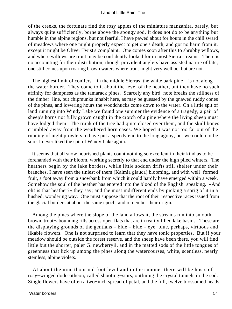#### Land of Little Rain, The

of the creeks, the fortunate find the rosy apples of the miniature manzanita, barely, but always quite sufficiently, borne above the spongy sod. It does not do to be anything but humble in the alpine regions, but not fearful. I have pawed about for hours in the chill sward of meadows where one might properly expect to get one's death, and got no harm from it, except it might be Oliver Twist's complaint. One comes soon after this to shrubby willows, and where willows are trout may be confidently looked for in most Sierra streams. There is no accounting for their distribution; though provident anglers have assisted nature of late, one still comes upon roaring brown waters where trout might very well be, but are not.

The highest limit of conifers – in the middle Sierras, the white bark pine – is not along the water border. They come to it about the level of the heather, but they have no such affinity for dampness as the tamarack pines. Scarcely any bird−note breaks the stillness of the timber−line, but chipmunks inhabit here, as may be guessed by the gnawed ruddy cones of the pines, and lowering hours the woodchucks come down to the water. On a little spit of land running into Windy Lake we found one summer the evidence of a tragedy; a pair of sheep's horns not fully grown caught in the crotch of a pine where the living sheep must have lodged them. The trunk of the tree had quite closed over them, and the skull bones crumbled away from the weathered horn cases. We hoped it was not too far out of the running of night prowlers to have put a speedy end to the long agony, but we could not be sure. I never liked the spit of Windy Lake again.

 It seems that all snow nourished plants count nothing so excellent in their kind as to be forehanded with their bloom, working secretly to that end under the high piled winters. The heathers begin by the lake borders, while little sodden drifts still shelter under their branches. I have seen the tiniest of them (Kalmia glauca) blooming, and with well−formed fruit, a foot away from a snowbank from which it could hardly have emerged within a week. Somehow the soul of the heather has entered into the blood of the English−speaking. «And oh! is that heather?» they say; and the most indifferent ends by picking a sprig of it in a hushed, wondering way. One must suppose that the root of their respective races issued from the glacial borders at about the same epoch, and remember their origin.

 Among the pines where the slope of the land allows it, the streams run into smooth, brown, trout−abounding rills across open flats that are in reality filled lake basins. These are the displaying grounds of the gentians – blue – blue – eye−blue, perhaps, virtuous and likable flowers. One is not surprised to learn that they have tonic properties. But if your meadow should be outside the forest reserve, and the sheep have been there, you will find little but the shorter, paler G. newberryii, and in the matted sods of the little tongues of greenness that lick up among the pines along the watercourses, white, scentless, nearly stemless, alpine violets.

 At about the nine thousand foot level and in the summer there will be hosts of rosy−winged dodecatheon, called shooting−stars, outlining the crystal tunnels in the sod. Single flowers have often a two−inch spread of petal, and the full, twelve blossomed heads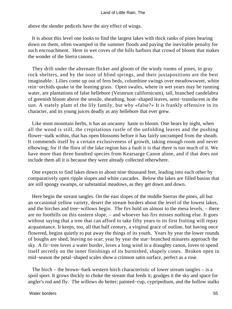#### Land of Little Rain, The

above the slender pedicels have the airy effect of wings.

 It is about this level one looks to find the largest lakes with thick ranks of pines bearing down on them, often swamped in the summer floods and paying the inevitable penalty for such encroachment. Here in wet coves of the hills harbors that crowd of bloom that makes the wonder of the Sierra canons.

 They drift under the alternate flicker and gloom of the windy rooms of pines, in gray rock shelters, and by the ooze of blind springs, and their juxtapositions are the best imaginable. Lilies come up out of fern beds, columbine swings over meadowsweet, white rein−orchids quake in the leaning grass. Open swales, where in wet years may be running water, are plantations of false hellebore (Veratrum californicum), tall, branched candelabra of greenish bloom above the sessile, sheathing, boat−shaped leaves, semi−translucent in the sun. A stately plant of the lily family, but why «false?» It is frankly offensive in its character, and its young juices deadly as any hellebore that ever grew.

 Like most mountain herbs, it has an uncanny haste to bloom. One hears by night, when all the wood is still, the crepitatious rustle of the unfolding leaves and the pushing flower−stalk within, that has open blossoms before it has fairly uncramped from the sheath. It commends itself by a certain exclusiveness of growth, taking enough room and never elbowing; for if the flora of the lake region has a fault it is that there is too much of it. We have more than three hundred species from Kearsarge Canon alone, and if that does not include them all it is because they were already collected otherwhere.

 One expects to find lakes down to about nine thousand feet, leading into each other by comparatively open ripple slopes and white cascades. Below the lakes are filled basins that are still spongy swamps, or substantial meadows, as they get down and down.

 Here begin the stream tangles. On the east slopes of the middle Sierras the pines, all but an occasional yellow variety, desert the stream borders about the level of the lowest lakes, and the birches and tree−willows begin. The firs hold on almost to the mesa levels, – there are no foothills on this eastern slope, – and whoever has firs misses nothing else. It goes without saying that a tree that can afford to take fifty years to its first fruiting will repay acquaintance. It keeps, too, all that half century, a virginal grace of outline, but having once flowered, begins quietly to put away the things of its youth. Years by year the lower rounds of boughs are shed, leaving no scar; year by year the star−branched minarets approach the sky. A fir−tree loves a water border, loves a long wind in a draughty canon, loves to spend itself secretly on the inner finishings of its burnished, shapely cones. Broken open in mid−season the petal−shaped scales show a crimson satin surface, perfect as a rose.

 The birch – the brown−bark western birch characteristic of lower stream tangles – is a spoil sport. It grows thickly to choke the stream that feeds it; grudges it the sky and space for angler's rod and fly. The willows do better; painted−cup, cypripedium, and the hollow stalks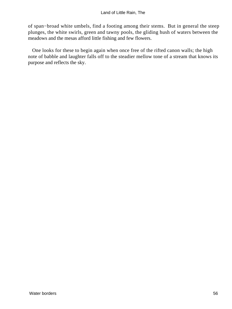of span−broad white umbels, find a footing among their stems. But in general the steep plunges, the white swirls, green and tawny pools, the gliding hush of waters between the meadows and the mesas afford little fishing and few flowers.

 One looks for these to begin again when once free of the rifted canon walls; the high note of babble and laughter falls off to the steadier mellow tone of a stream that knows its purpose and reflects the sky.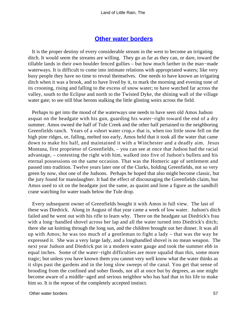### **[Other water borders](#page-72-0)**

 It is the proper destiny of every considerable stream in the west to become an irrigating ditch. It would seem the streams are willing. They go as far as they can, or dare, toward the tillable lands in their own boulder fenced gullies – but how much farther in the man−made waterways. It is difficult to come into intimate relations with appropriated waters; like very busy people they have no time to reveal themselves. One needs to have known an irrigating ditch when it was a brook, and to have lived by it, to mark the morning and evening tone of its crooning, rising and falling to the excess of snow water; to have watched far across the valley, south to the Eclipse and north to the Twisted Dyke, the shining wall of the village water gate; to see still blue herons stalking the little glinting weirs across the field.

 Perhaps to get into the mood of the waterways one needs to have seen old Amos Judson asquat on the headgate with his gun, guarding his water−right toward the end of a dry summer. Amos owned the half of Tule Creek and the other half pertained to the neighboring Greenfields ranch. Years of a «short water crop,» that is, when too little snow fell on the high pine ridges, or, falling, melted too early, Amos held that it took all the water that came down to make his half, and maintained it with a Winchester and a deadly aim. Jesus Montana, first proprietor of Greenfields, – you can see at once that Judson had the racial advantage, – contesting the right with him, walked into five of Judson's bullets and his eternal possessions on the same occasion. That was the Homeric age of settlement and passed into tradition. Twelve years later one of the Clarks, holding Greenfields, not so very green by now, shot one of the Judsons. Perhaps he hoped that also might become classic, but the jury found for manslaughter. It had the effect of discouraging the Greenfields claim, but Amos used to sit on the headgate just the same, as quaint and lone a figure as the sandhill crane watching for water toads below the Tule drop.

 Every subsequent owner of Greenfields bought it with Amos in full view. The last of these was Diedrick. Along in August of that year came a week of low water. Judson's ditch failed and he went out with his rifle to learn why. There on the headgate sat Diedrick's frau with a long−handled shovel across her lap and all the water turned into Diedrick's ditch; there she sat knitting through the long sun, and the children brought out her dinner. It was all up with Amos; he was too much of a gentleman to fight a lady – that was the way he expressed it. She was a very large lady, and a longhandled shovel is no mean weapon. The next year Judson and Diedrick put in a modern water gauge and took the summer ebb in equal inches. Some of the water−right difficulties are more squalid than this, some more tragic; but unless you have known them you cannot very well know what the water thinks as it slips past the gardens and in the long slow sweeps of the canal. You get that sense of brooding from the confined and sober floods, not all at once but by degrees, as one might become aware of a middle−aged and serious neighbor who has had that in his life to make him so. It is the repose of the completely accepted instinct.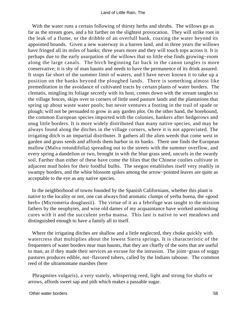With the water runs a certain following of thirsty herbs and shrubs. The willows go as far as the stream goes, and a bit farther on the slightest provocation. They will strike root in the leak of a flume, or the dribble of an overfull bank, coaxing the water beyond its appointed bounds. Given a new waterway in a barren land, and in three years the willows have fringed all its miles of banks; three years more and they will touch tops across it. It is perhaps due to the early usurpation of the willows that so little else finds growing−room along the large canals. The birch beginning far back in the canon tangles is more conservative; it is shy of man haunts and needs to have the permanence of its drink assured. It stops far short of the summer limit of waters, and I have never known it to take up a position on the banks beyond the ploughed lands. There is something almost like premeditation in the avoidance of cultivated tracts by certain plants of water borders. The clematis, mingling its foliage secretly with its host, comes down with the stream tangles to the village fences, skips over to corners of little used pasture lands and the plantations that spring up about waste water pools; but never ventures a footing in the trail of spade or plough; will not be persuaded to grow in any garden plot. On the other hand, the horehound, the common European species imported with the colonies, hankers after hedgerows and snug little borders. It is more widely distributed than many native species, and may be always found along the ditches in the village corners, where it is not appreciated. The irrigating ditch is an impartial distributer. It gathers all the alien weeds that come west in garden and grass seeds and affords them harbor in its banks. There one finds the European mallow (Malva rotundifolia) spreading out to the streets with the summer overflow, and every spring a dandelion or two, brought in with the blue grass seed, uncurls in the swardy soil. Farther than either of these have come the lilies that the Chinese coolies cultivate in adjacent mud holes for their foodful bulbs. The seegoo establishes itself very readily in swampy borders, and the white blossom spikes among the arrow−pointed leaves are quite as acceptable to the eye as any native species.

 In the neighborhood of towns founded by the Spanish Californians, whether this plant is native to the locality or not, one can always find aromatic clumps of yerba buena, the «good herb» (Micromeria douglassii). The virtue of it as a febrifuge was taught to the mission fathers by the neophytes, and wise old dames of my acquaintance have worked astonishing cures with it and the succulent yerba mansa. This last is native to wet meadows and distinguished enough to have a family all to itself.

Where the irrigating ditches are shallow and a little neglected, they choke quickly with watercress that multiplies about the lowest Sierra springs. It is characteristic of the frequenters of water borders near man haunts, that they are chiefly of the sorts that are useful to man, as if they made their services an excuse for the intrusion. The joint−grass of soggy pastures produces edible, nut−flavored tubers, called by the Indians taboose. The common reed of the ultramontane marshes (here

 Phragmites vulgaris), a very stately, whispering reed, light and strong for shafts or arrows, affords sweet sap and pith which makes a passable sugar.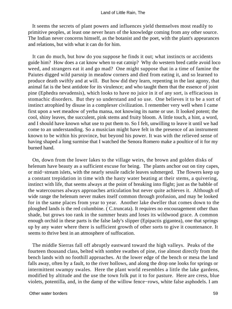It seems the secrets of plant powers and influences yield themselves most readily to primitive peoples, at least one never hears of the knowledge coming from any other source. The Indian never concerns himself, as the botanist and the poet, with the plant's appearances and relations, but with what it can do for him.

 It can do much, but how do you suppose he finds it out; what instincts or accidents guide him? How does a cat know when to eat catnip? Why do western bred cattle avoid loco weed, and strangers eat it and go mad? One might suppose that in a time of famine the Paiutes digged wild parsnip in meadow corners and died from eating it, and so learned to produce death swiftly and at will. But how did they learn, repenting in the last agony, that animal fat is the best antidote for its virulence; and who taught them that the essence of joint pine (Ephedra nevadensis), which looks to have no juice in it of any sort, is efficacious in stomachic disorders. But they so understand and so use. One believes it to be a sort of instinct atrophied by disuse in a complexer civilization. I remember very well when I came first upon a wet meadow of yerba mansa, not knowing its name or use. It looked potent; the cool, shiny leaves, the succulent, pink stems and fruity bloom. A little touch, a hint, a word, and I should have known what use to put them to. So I felt, unwilling to leave it until we had come to an understanding. So a musician might have felt in the presence of an instrument known to be within his province, but beyond his power. It was with the relieved sense of having shaped a long surmise that I watched the Senora Romero make a poultice of it for my burned hand.

 On, down from the lower lakes to the village weirs, the brown and golden disks of helenum have beauty as a sufficient excuse for being. The plants anchor out on tiny capes, or mid−stream islets, with the nearly sessile radicle leaves submerged. The flowers keep up a constant trepidation in time with the hasty water beating at their stems, a quivering, instinct with life, that seems always at the point of breaking into flight; just as the babble of the watercourses always approaches articulation but never quite achieves it. Although of wide range the helenum never makes itself common through profusion, and may be looked for in the same places from year to year. Another lake dweller that comes down to the ploughed lands is the red columbine. ( C.truncata). It requires no encouragement other than shade, but grows too rank in the summer heats and loses its wildwood grace. A common enough orchid in these parts is the false lady's slipper (Epipactis gigantea), one that springs up by any water where there is sufficient growth of other sorts to give it countenance. It seems to thrive best in an atmosphere of suffocation.

 The middle Sierras fall off abruptly eastward toward the high valleys. Peaks of the fourteen thousand class, belted with sombre swathes of pine, rise almost directly from the bench lands with no foothill approaches. At the lower edge of the bench or mesa the land falls away, often by a fault, to the river hollows, and along the drop one looks for springs or intermittent swampy swales. Here the plant world resembles a little the lake gardens, modified by altitude and the use the town folk put it to for pasture. Here are cress, blue violets, potentilla, and, in the damp of the willow fence−rows, white false asphodels. I am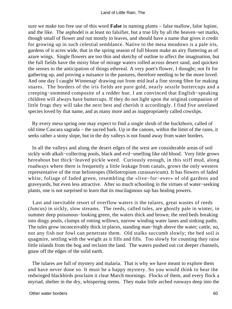sure we make too free use of this word **False** in naming plants – false mallow, false lupine, and the like. The asphodel is at least no falsifier, but a true lily by all the heaven−set marks, though small of flower and run mostly to leaves, and should have a name that gives it credit for growing up in such celestial semblance. Native to the mesa meadows is a pale iris, gardens of it acres wide, that in the spring season of full bloom make an airy fluttering as of azure wings. Single flowers are too thin and sketchy of outline to affect the imagination, but the full fields have the misty blue of mirage waters rolled across desert sand, and quicken the senses to the anticipation of things ethereal. A very poet's flower, I thought; not fit for gathering up, and proving a nuisance in the pastures, therefore needing to be the more loved. And one day I caught Winnenap' drawing out from mid leaf a fine strong fibre for making snares. The borders of the iris fields are pure gold, nearly sessile buttercups and a creeping−stemmed composite of a redder hue. I am convinced that English−speaking children will always have buttercups. If they do not light upon the original companion of little frogs they will take the next best and cherish it accordingly. I find five unrelated species loved by that name, and as many more and as inappropriately called cowslips.

 By every mesa spring one may expect to find a single shrub of the buckthorn, called of old time Cascara sagrada – the sacred bark. Up in the canons, within the limit of the rains, it seeks rather a stony slope, but in the dry valleys is not found away from water borders.

 In all the valleys and along the desert edges of the west are considerable areas of soil sickly with alkali−collecting pools, black and evil−smelling like old blood. Very little grows hereabout but thick−leaved pickle weed. Curiously enough, in this stiff mud, along roadways where there is frequently a little leakage from canals, grows the only western representative of the true heliotropes (Heliotropium curassavicum). It has flowers of faded white, foliage of faded green, resembling the «live−for−ever» of old gardens and graveyards, but even less attractive. After so much schooling in the virtues of water−seeking plants, one is not surprised to learn that its mucilaginous sap has healing powers.

 Last and inevitable resort of overflow waters is the tulares, great wastes of reeds (Juncus) in sickly, slow streams. The reeds, called tules, are ghostly pale in winter, in summer deep poisonous−looking green, the waters thick and brown; the reed beds breaking into dingy pools, clumps of rotting willows, narrow winding water lanes and sinking paths. The tules grow inconceivably thick in places, standing man−high above the water; cattle, no, not any fish nor fowl can penetrate them. Old stalks succumb slowly; the bed soil is quagmire, settling with the weight as it fills and fills. Too slowly for counting they raise little islands from the bog and reclaim the land. The waters pushed out cut deeper channels, gnaw off the edges of the solid earth.

 The tulares are full of mystery and malaria. That is why we have meant to explore them and have never done so. It must be a happy mystery. So you would think to hear the redwinged blackbirds proclaim it clear March mornings. Flocks of them, and every flock a myriad, shelter in the dry, whispering stems. They make little arched runways deep into the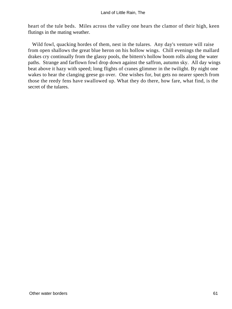heart of the tule beds. Miles across the valley one hears the clamor of their high, keen flutings in the mating weather.

 Wild fowl, quacking hordes of them, nest in the tulares. Any day's venture will raise from open shallows the great blue heron on his hollow wings. Chill evenings the mallard drakes cry continually from the glassy pools, the bittern's hollow boom rolls along the water paths. Strange and farflown fowl drop down against the saffron, autumn sky. All day wings beat above it hazy with speed; long flights of cranes glimmer in the twilight. By night one wakes to hear the clanging geese go over. One wishes for, but gets no nearer speech from those the reedy fens have swallowed up. What they do there, how fare, what find, is the secret of the tulares.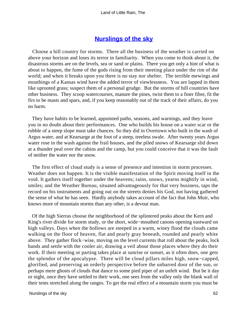# **[Nurslings of the sky](#page-72-0)**

 Choose a hill country for storms. There all the business of the weather is carried on above your horizon and loses its terror in familiarity. When you come to think about it, the disastrous storms are on the levels, sea or sand or plains. There you get only a hint of what is about to happen, the fume of the gods rising from their meeting place under the rim of the world; and when it breaks upon you there is no stay nor shelter. The terrible mewings and mouthings of a Kansas wind have the added terror of viewlessness. You are lapped in them like uprooted grass; suspect them of a personal grudge. But the storms of hill countries have other business. They scoop watercourses, manure the pines, twist them to a finer fibre, fit the firs to be masts and spars, and, if you keep reasonably out of the track of their affairs, do you no harm.

 They have habits to be learned, appointed paths, seasons, and warnings, and they leave you in no doubt about their performances. One who builds his house on a water scar or the rubble of a steep slope must take chances. So they did in Overtown who built in the wash of Argus water, and at Kearsarge at the foot of a steep, treeless swale. After twenty years Argus water rose in the wash against the frail houses, and the piled snows of Kearsarge slid down at a thunder peal over the cabins and the camp, but you could conceive that it was the fault of neither the water nor the snow.

 The first effect of cloud study is a sense of presence and intention in storm processes. Weather does not happen. It is the visible manifestation of the Spirit moving itself in the void. It gathers itself together under the heavens; rains, snows, yearns mightily in wind, smiles; and the Weather Bureau, situated advantageously for that very business, taps the record on his instruments and going out on the streets denies his God, not having gathered the sense of what he has seen. Hardly anybody takes account of the fact that John Muir, who knows more of mountain storms than any other, is a devout man.

 Of the high Sierras choose the neighborhood of the splintered peaks about the Kern and King's river divide for storm study, or the short, wide−mouthed canons opening eastward on high valleys. Days when the hollows are steeped in a warm, winey flood the clouds came walking on the floor of heaven, flat and pearly gray beneath, rounded and pearly white above. They gather flock−wise, moving on the level currents that roll about the peaks, lock hands and settle with the cooler air, drawing a veil about those places where they do their work. If their meeting or parting takes place at sunrise or sunset, as it often does, one gets the splendor of the apocalypse. There will be cloud pillars miles high, snow−capped, glorified, and preserving an orderly perspective before the unbarred door of the sun, or perhaps mere ghosts of clouds that dance to some pied piper of an unfelt wind. But be it day or night, once they have settled to their work, one sees from the valley only the blank wall of their tents stretched along the ranges. To get the real effect of a mountain storm you must be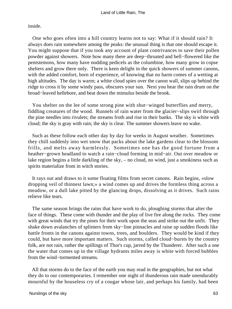inside.

 One who goes often into a hill country learns not to say: What if it should rain? It always does rain somewhere among the peaks: the unusual thing is that one should escape it. You might suppose that if you took any account of plant contrivances to save their pollen powder against showers. Note how many there are deep−throated and bell−flowered like the pentstemons, how many have nodding pedicels as the columbine, how many grow in copse shelters and grow there only. There is keen delight in the quick showers of summer canons, with the added comfort, born of experience, of knowing that no harm comes of a wetting at high altitudes. The day is warm; a white cloud spies over the canon wall, slips up behind the ridge to cross it by some windy pass, obscures your sun. Next you hear the rain drum on the broad−leaved hellebore, and beat down the mimulus beside the brook.

 You shelter on the lee of some strong pine with shut−winged butterflies and merry, fiddling creatures of the wood. Runnels of rain water from the glacier−slips swirl through the pine needles into rivulets; the streams froth and rise in their banks. The sky is white with cloud; the sky is gray with rain; the sky is clear. The summer showers leave no wake.

 Such as these follow each other day by day for weeks in August weather. Sometimes they chill suddenly into wet snow that packs about the lake gardens clear to the blossom frills, and melts away harmlessly. Sometimes one has the good fortune from a heather−grown headland to watch a rain−cloud forming in mid−air. Out over meadow or lake region begins a little darkling of the sky, – no cloud, no wind, just a smokiness such as spirits materialize from in witch stories.

 It rays out and draws to it some floating films from secret canons. Rain begins, «slow dropping veil of thinnest lawn;» a wind comes up and drives the formless thing across a meadow, or a dull lake pitted by the glancing drops, dissolving as it drives. Such rains relieve like tears.

 The same season brings the rains that have work to do, ploughing storms that alter the face of things. These come with thunder and the play of live fire along the rocks. They come with great winds that try the pines for their work upon the seas and strike out the unfit. They shake down avalanches of splinters from sky−line pinnacles and raise up sudden floods like battle fronts in the canons against towns, trees, and boulders. They would be kind if they could, but have more important matters. Such storms, called cloud−bursts by the country folk, are not rain, rather the spillings of Thor's cup, jarred by the Thunderer. After such a one the water that comes up in the village hydrants miles away is white with forced bubbles from the wind−tormented streams.

 All that storms do to the face of the earth you may read in the geographies, but not what they do to our contemporaries. I remember one night of thunderous rain made unendurably mournful by the houseless cry of a cougar whose lair, and perhaps his family, had been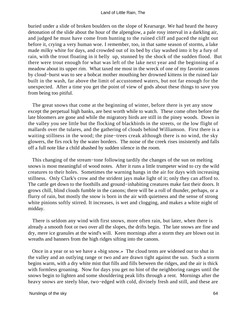buried under a slide of broken boulders on the slope of Kearsarge. We had heard the heavy detonation of the slide about the hour of the alpenglow, a pale rosy interval in a darkling air, and judged he must have come from hunting to the ruined cliff and paced the night out before it, crying a very human woe. I remember, too, in that same season of storms, a lake made milky white for days, and crowded out of its bed by clay washed into it by a fury of rain, with the trout floating in it belly up, stunned by the shock of the sudden flood. But there were trout enough for what was left of the lake next year and the beginning of a meadow about its upper rim. What taxed me most in the wreck of one of my favorite canons by cloud−burst was to see a bobcat mother mouthing her drowned kittens in the ruined lair built in the wash, far above the limit of accustomed waters, but not far enough for the unexpected. After a time you get the point of view of gods about these things to save you from being too pitiful.

 The great snows that come at the beginning of winter, before there is yet any snow except the perpetual high banks, are best worth while to watch. These come often before the late bloomers are gone and while the migratory birds are still in the piney woods. Down in the valley you see little but the flocking of blackbirds in the streets, or the low flight of mallards over the tulares, and the gathering of clouds behind Williamson. First there is a waiting stillness in the wood; the pine−trees creak although there is no wind, the sky glowers, the firs rock by the water borders. The noise of the creek rises insistently and falls off a full note like a child abashed by sudden silence in the room.

 This changing of the stream−tone following tardily the changes of the sun on melting snows is most meaningful of wood notes. After it runs a little trumpeter wind to cry the wild creatures to their holes. Sometimes the warning hangs in the air for days with increasing stillness. Only Clark's crow and the strident jays make light of it; only they can afford to. The cattle get down to the foothills and ground−inhabiting creatures make fast their doors. It grows chill, blind clouds fumble in the canons; there will be a roll of thunder, perhaps, or a flurry of rain, but mostly the snow is born in the air with quietness and the sense of strong white pinions softly stirred. It increases, is wet and clogging, and makes a white night of midday.

 There is seldom any wind with first snows, more often rain, but later, when there is already a smooth foot or two over all the slopes, the drifts begin. The late snows are fine and dry, mere ice granules at the wind's will. Keen mornings after a storm they are blown out in wreaths and banners from the high ridges sifting into the canons.

 Once in a year or so we have a «big snow.» The cloud tents are widened out to shut in the valley and an outlying range or two and are drawn tight against the sun. Such a storm begins warm, with a dry white mist that fills and fills between the ridges, and the air is thick with formless groaning. Now for days you get no hint of the neighboring ranges until the snows begin to lighten and some shouldering peak lifts through a rent. Mornings after the heavy snows are steely blue, two−edged with cold, divinely fresh and still, and these are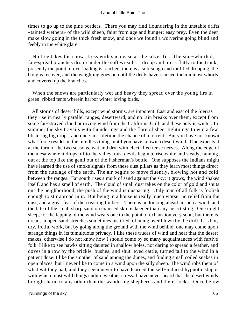times to go up to the pine borders. There you may find floundering in the unstable drifts «tainted wethers» of the wild sheep, faint from age and hunger; easy prey. Even the deer make slow going in the thick fresh snow, and once we found a wolverine going blind and feebly in the white glare.

 No tree takes the snow stress with such ease as the silver fir. The star−whorled, fan−spread branches droop under the soft wreaths – droop and press flatly to the trunk; presently the point of overloading is reached, there is a soft sough and muffled drooping, the boughs recover, and the weighting goes on until the drifts have reached the midmost whorls and covered up the branches.

When the snows are particularly wet and heavy they spread over the young firs in green−ribbed tents wherein harbor winter loving birds.

 All storms of desert hills, except wind storms, are impotent. East and east of the Sierras they rise in nearly parallel ranges, desertward, and no rain breaks over them, except from some far−strayed cloud or roving wind from the California Gulf, and these only in winter. In summer the sky travails with thunderings and the flare of sheet lightnings to win a few blistering big drops, and once in a lifetime the chance of a torrent. But you have not known what force resides in the mindless things until you have known a desert wind. One expects it at the turn of the two seasons, wet and dry, with electrified tense nerves. Along the edge of the mesa where it drops off to the valley, dust devils begin to rise white and steady, fanning out at the top like the genii out of the Fisherman's bottle. One supposes the Indians might have learned the use of smoke signals from these dust pillars as they learn most things direct from the tutelage of the earth. The air begins to move fluently, blowing hot and cold between the ranges. Far south rises a murk of sand against the sky; it grows, the wind shakes itself, and has a smell of earth. The cloud of small dust takes on the color of gold and shuts out the neighborhood, the push of the wind is unsparing. Only man of all folk is foolish enough to stir abroad in it. But being in a house is really much worse; no relief from the dust, and a great fear of the creaking timbers. There is no looking ahead in such a wind, and the bite of the small sharp sand on exposed skin is keener than any insect sting. One might sleep, for the lapping of the wind wears one to the point of exhaustion very soon, but there is dread, in open sand stretches sometimes justified, of being over blown by the drift. It is hot, dry, fretful work, but by going along the ground with the wind behind, one may come upon strange things in its tumultuous privacy. I like these truces of wind and heat that the desert makes, otherwise I do not know how I should come by so many acquaintances with furtive folk. I like to see hawks sitting daunted in shallow holes, not daring to spread a feather, and doves in a row by the prickle−bushes, and shut−eyed cattle, turned tail to the wind in a patient doze. I like the smother of sand among the dunes, and finding small coiled snakes in open places, but I never like to come in a wind upon the silly sheep. The wind robs them of what wit they had, and they seem never to have learned the self−induced hypnotic stupor with which most wild things endure weather stress. I have never heard that the desert winds brought harm to any other than the wandering shepherds and their flocks. Once below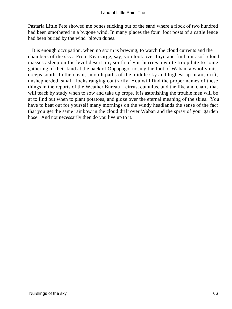Pastaria Little Pete showed me bones sticking out of the sand where a flock of two hundred had been smothered in a bygone wind. In many places the four−foot posts of a cattle fence had been buried by the wind−blown dunes.

 It is enough occupation, when no storm is brewing, to watch the cloud currents and the chambers of the sky. From Kearsarge, say, you look over Inyo and find pink soft cloud masses asleep on the level desert air; south of you hurries a white troop late to some gathering of their kind at the back of Oppapago; nosing the foot of Waban, a woolly mist creeps south. In the clean, smooth paths of the middle sky and highest up in air, drift, unshepherded, small flocks ranging contrarily. You will find the proper names of these things in the reports of the Weather Bureau – cirrus, cumulus, and the like and charts that will teach by study when to sow and take up crops. It is astonishing the trouble men will be at to find out when to plant potatoes, and gloze over the eternal meaning of the skies. You have to beat out for yourself many mornings on the windy headlands the sense of the fact that you get the same rainbow in the cloud drift over Waban and the spray of your garden hose. And not necessarily then do you live up to it.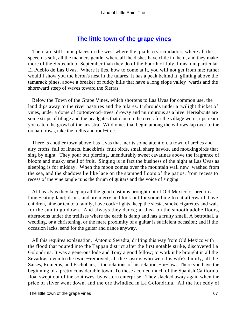# **[The little town of the grape vines](#page-72-0)**

 There are still some places in the west where the quails cry «cuidado»; where all the speech is soft, all the manners gentle; where all the dishes have chile in them, and they make more of the Sixteenth of September than they do of the Fourth of July. I mean in particular El Pueblo de Las Uvas. Where it lies, how to come at it, you will not get from me; rather would I show you the heron's nest in the tulares. It has a peak behind it, glinting above the tamarack pines, above a breaker of ruddy hills that have a long slope valley−wards and the shoreward steep of waves toward the Sierras.

 Below the Town of the Grape Vines, which shortens to Las Uvas for common use, the land dips away to the river pastures and the tulares. It shrouds under a twilight thicket of vines, under a dome of cottonwood−trees, drowsy and murmurous as a hive. Hereabouts are some strips of tillage and the headgates that dam up the creek for the village weirs; upstream you catch the growl of the arrastra. Wild vines that begin among the willows lap over to the orchard rows, take the trellis and roof−tree.

 There is another town above Las Uvas that merits some attention, a town of arches and airy crofts, full of linnets, blackbirds, fruit birds, small sharp hawks, and mockingbirds that sing by night. They pour out piercing, unendurably sweet cavatinas above the fragrance of bloom and musky smell of fruit. Singing is in fact the business of the night at Las Uvas as sleeping is for midday. When the moon comes over the mountain wall new−washed from the sea, and the shadows lie like lace on the stamped floors of the patios, from recess to recess of the vine tangle runs the thrum of guitars and the voice of singing.

 At Las Uvas they keep up all the good customs brought out of Old Mexico or bred in a lotus−eating land; drink, and are merry and look out for something to eat afterward; have children, nine or ten to a family, have cock−fights, keep the siesta, smoke cigarettes and wait for the sun to go down. And always they dance; at dusk on the smooth adobe floors, afternoons under the trellises where the earth is damp and has a fruity smell. A betrothal, a wedding, or a christening, or the mere proximity of a guitar is sufficient occasion; and if the occasion lacks, send for the guitar and dance anyway.

 All this requires explanation. Antonio Sevadra, drifting this way from Old Mexico with the flood that poured into the Tappan district after the first notable strike, discovered La Golondrina. It was a generous lode and Tony a good fellow; to work it he brought in all the Sevadras, even to the twice−removed; all the Castros who were his wife's family, all the Saises, Romeros, and Eschobars, – the relations of his relations−in−law. There you have the beginning of a pretty considerable town. To these accrued much of the Spanish California float swept out of the southwest by eastern enterprise. They slacked away again when the price of silver went down, and the ore dwindled in La Golondrina. All the hot eddy of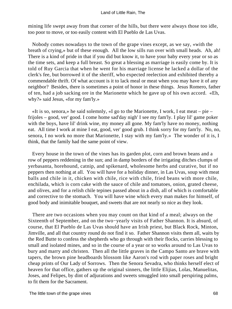mining life swept away from that corner of the hills, but there were always those too idle, too poor to move, or too easily content with El Pueblo de Las Uvas.

 Nobody comes nowadays to the town of the grape vines except, as we say, «with the breath of crying,» but of these enough. All the low sills run over with small heads. Ah, ah! There is a kind of pride in that if you did but know it, to have your baby every year or so as the time sets, and keep a full breast. So great a blessing as marriage is easily come by. It is told of Ruy Garcia that when he went for his marriage license he lacked a dollar of the clerk's fee, but borrowed it of the sheriff, who expected reelection and exhibited thereby a commendable thrift. Of what account is it to lack meal or meat when you may have it of any neighbor? Besides, there is sometimes a point of honor in these things. Jesus Romero, father of ten, had a job sacking ore in the Marionette which he gave up of his own accord. «Eh, why?» said Jesus, «for my fam'ly.»

 «It is so, senora,» he said solemnly, «I go to the Marionette, I work, I eat meat – pie – frijoles – good, ver' good. I come home sad'day nigh' I see my fam'ly. I play lil' game poker with the boys, have lil' drink wine, my money all gone. My fam'ly have no money, nothing eat. All time I work at mine I eat, good, ver' good grub. I think sorry for my fam'ly. No, no, senora, I no work no more that Marionette, I stay with my fam'ly.» The wonder of it is, I think, that the family had the same point of view.

 Every house in the town of the vines has its garden plot, corn and brown beans and a row of peppers reddening in the sun; and in damp borders of the irrigating ditches clumps of yerbasanta, horehound, catnip, and spikenard, wholesome herbs and curative, but if no peppers then nothing at all. You will have for a holiday dinner, in Las Uvas, soup with meat balls and chile in it, chicken with chile, rice with chile, fried beans with more chile, enchilada, which is corn cake with the sauce of chile and tomatoes, onion, grated cheese, and olives, and for a relish chile tepines passed about in a dish, all of which is comfortable and corrective to the stomach. You will have wine which every man makes for himself, of good body and inimitable bouquet, and sweets that are not nearly so nice as they look.

 There are two occasions when you may count on that kind of a meal; always on the Sixteenth of September, and on the two−yearly visits of Father Shannon. It is absurd, of course, that El Pueblo de Las Uvas should have an Irish priest, but Black Rock, Minton, Jimville, and all that country round do not find it so. Father Shannon visits them all, waits by the Red Butte to confess the shepherds who go through with their flocks, carries blessing to small and isolated mines, and so in the course of a year or so works around to Las Uvas to bury and marry and christen. Then all the little graves in the Campo Santo are brave with tapers, the brown pine headboards blossom like Aaron's rod with paper roses and bright cheap prints of Our Lady of Sorrows. Then the Senora Sevadra, who thinks herself elect of heaven for that office, gathers up the original sinners, the little Elijias, Lolas, Manuelitas, Joses, and Felipes, by dint of adjurations and sweets smuggled into small perspiring palms, to fit them for the Sacrament.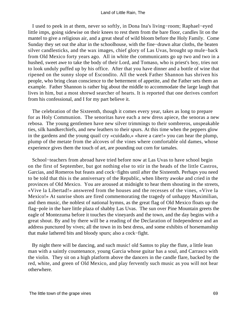I used to peek in at them, never so softly, in Dona Ina's living−room; Raphael−eyed little imps, going sidewise on their knees to rest them from the bare floor, candles lit on the mantel to give a religious air, and a great sheaf of wild bloom before the Holy Family. Come Sunday they set out the altar in the schoolhouse, with the fine−drawn altar cloths, the beaten silver candlesticks, and the wax images, chief glory of Las Uvas, brought up mule−back from Old Mexico forty years ago. All in white the communicants go up two and two in a hushed, sweet awe to take the body of their Lord, and Tomaso, who is priest's boy, tries not to look unduly puffed up by his office. After that you have dinner and a bottle of wine that ripened on the sunny slope of Escondito. All the week Father Shannon has shriven his people, who bring clean conscience to the betterment of appetite, and the Father sets them an example. Father Shannon is rather big about the middle to accommodate the large laugh that lives in him, but a most shrewd searcher of hearts. It is reported that one derives comfort from his confessional, and I for my part believe it.

 The celebration of the Sixteenth, though it comes every year, takes as long to prepare for as Holy Communion. The senoritas have each a new dress apiece, the senoras a new rebosa. The young gentlemen have new silver trimmings to their sombreros, unspeakable ties, silk handkerchiefs, and new leathers to their spurs. At this time when the peppers glow in the gardens and the young quail cry «cuidado,» «have a care!» you can hear the plump, plump of the metate from the alcoves of the vines where comfortable old dames, whose experience gives them the touch of art, are pounding out corn for tamales.

 School−teachers from abroad have tried before now at Las Uvas to have school begin on the first of September, but got nothing else to stir in the heads of the little Castros, Garcias, and Romeros but feasts and cock−fights until after the Sixteenth. Perhaps you need to be told that this is the anniversary of the Republic, when liberty awoke and cried in the provinces of Old Mexico. You are aroused at midnight to hear them shouting in the streets, «Vive la Libertad!» answered from the houses and the recesses of the vines, «Vive la Mexico!» At sunrise shots are fired commemorating the tragedy of unhappy Maximilian, and then music, the noblest of national hymns, as the great flag of Old Mexico floats up the flag−pole in the bare little plaza of shabby Las Uvas. The sun over Pine Mountain greets the eagle of Montezuma before it touches the vineyards and the town, and the day begins with a great shout. By and by there will be a reading of the Declaration of Independence and an address punctured by vives; all the town in its best dress, and some exhibits of horsemanship that make lathered bits and bloody spurs; also a cock−fight.

 By night there will be dancing, and such music! old Santos to play the flute, a little lean man with a saintly countenance, young Garcia whose guitar has a soul, and Carrasco with the violin. They sit on a high platform above the dancers in the candle flare, backed by the red, white, and green of Old Mexico, and play fervently such music as you will not hear otherwhere.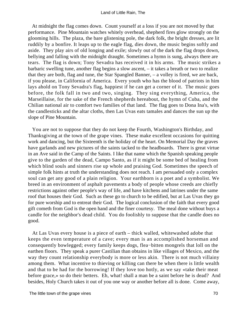At midnight the flag comes down. Count yourself at a loss if you are not moved by that performance. Pine Mountain watches whitely overhead, shepherd fires glow strongly on the glooming hills. The plaza, the bare glistening pole, the dark folk, the bright dresses, are lit ruddily by a bonfire. It leaps up to the eagle flag, dies down, the music begins softly and aside. They play airs of old longing and exile; slowly out of the dark the flag drops down, bellying and falling with the midnight draught. Sometimes a hymn is sung, always there are tears. The flag is down; Tony Sevadra has received it in his arms. The music strikes a barbaric swelling tune, another flag begins a slow ascent, – it takes a breath or two to realize that they are both, flag and tune, the Star Spangled Banner, – a volley is fired, we are back, if you please, in California of America. Every youth who has the blood of patriots in him lays ahold on Tony Sevadra's flag, happiest if he can get a corner of it. The music goes before, the folk fall in two and two, singing. They sing everything, America, the Marseillaise, for the sake of the French shepherds hereabout, the hymn of Cuba, and the Chilian national air to comfort two families of that land. The flag goes to Dona Ina's, with the candlesticks and the altar cloths, then Las Uvas eats tamales and dances the sun up the slope of Pine Mountain.

 You are not to suppose that they do not keep the Fourth, Washington's Birthday, and Thanksgiving at the town of the grape vines. These make excellent occasions for quitting work and dancing, but the Sixteenth is the holiday of the heart. On Memorial Day the graves have garlands and new pictures of the saints tacked to the headboards. There is great virtue in an Ave said in the Camp of the Saints. I like that name which the Spanish speaking people give to the garden of the dead, Campo Santo, as if it might be some bed of healing from which blind souls and sinners rise up whole and praising God. Sometimes the speech of simple folk hints at truth the understanding does not reach. I am persuaded only a complex soul can get any good of a plain religion. Your earthborn is a poet and a symbolist. We breed in an environment of asphalt pavements a body of people whose creeds are chiefly restrictions against other people's way of life, and have kitchens and latrines under the same roof that houses their God. Such as these go to church to be edified, but at Las Uvas they go for pure worship and to entreat their God. The logical conclusion of the faith that every good gift cometh from God is the open hand and the finer courtesy. The meal done without buys a candle for the neighbor's dead child. You do foolishly to suppose that the candle does no good.

 At Las Uvas every house is a piece of earth – thick walled, whitewashed adobe that keeps the even temperature of a cave; every man is an accomplished horseman and consequently bowlegged; every family keeps dogs, flea−bitten mongrels that loll on the earthen floors. They speak a purer Castilian than obtains in like villages of Mexico, and the way they count relationship everybody is more or less akin. There is not much villainy among them. What incentive to thieving or killing can there be when there is little wealth and that to be had for the borrowing! If they love too hotly, as we say «take their meat before grace,» so do their betters. Eh, what! shall a man be a saint before he is dead? And besides, Holy Church takes it out of you one way or another before all is done. Come away,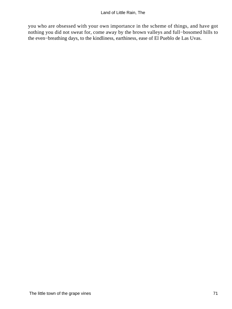you who are obsessed with your own importance in the scheme of things, and have got nothing you did not sweat for, come away by the brown valleys and full−bosomed hills to the even−breathing days, to the kindliness, earthiness, ease of El Pueblo de Las Uvas.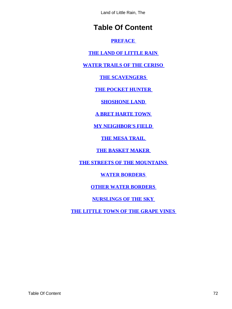Land of Little Rain, The

# **Table Of Content**

#### **[PREFACE](#page-3-0)**

**[THE LAND OF LITTLE RAIN](#page-4-0)** 

## **[WATER TRAILS OF THE CERISO](#page-9-0)**

**[THE SCAVENGERS](#page-14-0)** 

**[THE POCKET HUNTER](#page-18-0)** 

**[SHOSHONE LAND](#page-23-0)** 

**[A BRET HARTE TOWN](#page-28-0)** 

**[MY NEIGHBOR'S FIELD](#page-33-0)** 

**[THE MESA TRAIL](#page-37-0)** 

**[THE BASKET MAKER](#page-42-0)** 

**[THE STREETS OF THE MOUNTAINS](#page-47-0)** 

**[WATER BORDERS](#page-52-0)** 

**[OTHER WATER BORDERS](#page-57-0)** 

**[NURSLINGS OF THE SKY](#page-62-0)** 

**[THE LITTLE TOWN OF THE GRAPE VINES](#page-67-0)**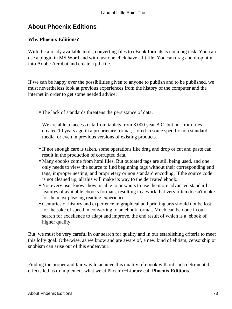# **About Phoenix Editions**

## **Why Phoenix Editions?**

With the already available tools, converting files to eBook formats is not a big task. You can use a plugin in MS Word and with just one click have a lit file. You can drag and drop html into Adobe Acrobat and create a pdf file.

If we can be happy over the possibilities given to anyone to publish and to be published, we must nevertheless look at previous experiences from the history of the computer and the internet in order to get some needed advice:

• The lack of standards threatens the persistance of data.

We are able to access data from tablets from 3.000 year B.C. but not from files created 10 years ago in a proprietary format, stored in some specific non standard media, or even in previous versions of existing products.

- If not enough care is taken, some operations like drag and drop or cut and paste can result in the production of corrupted data.
- Many ebooks come from html files. But outdated tags are still being used, and one only needs to view the source to find beginning tags without their corresponding end tags, improper nesting, and proprietary or non standard encoding. If the source code is not cleaned up, all this will make its way to the derivated ebook.
- Not every user knows how, is able to or wants to use the more advanced standard features of available ebooks formats, resulting in a work that very often doesn't make for the most pleasing reading experience.
- Centuries of history and experience in graphical and printing arts should not be lost for the sake of speed in converting to an ebook format. Much can be done in our search for excellence to adapt and improve, the end result of which is a ebook of higher quality.

But, we must be very careful in our search for quality and in our establishing criteria to meet this lofty goal. Otherwise, as we know and are aware of, a new kind of elitism, censorship or snobism can arise out of this endeavour.

Finding the proper and fair way to achieve this quality of ebook without such detrimental effects led us to implement what we at Phoenix−Library call **Phoenix Editions**.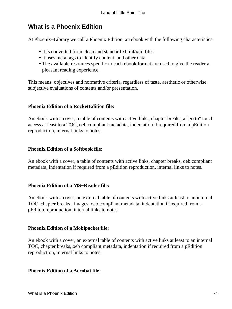# **What is a Phoenix Edition**

At Phoenix−Library we call a Phoenix Edition, an ebook with the following characteristics:

- It is converted from clean and standard xhtml/xml files
- It uses meta tags to identify content, and other data
- The available resources specific to each ebook format are used to give the reader a pleasant reading experience.

This means: objectives and normative criteria, regardless of taste, aesthetic or otherwise subjective evaluations of contents and/or presentation.

## **Phoenix Edition of a RocketEdition file:**

An ebook with a cover, a table of contents with active links, chapter breaks, a "go to" touch access at least to a TOC, oeb compliant metadata, indentation if required from a pEdition reproduction, internal links to notes.

### **Phoenix Edition of a Softbook file:**

An ebook with a cover, a table of contents with active links, chapter breaks, oeb compliant metadata, indentation if required from a pEdition reproduction, internal links to notes.

### **Phoenix Edition of a MS−Reader file:**

An ebook with a cover, an external table of contents with active links at least to an internal TOC, chapter breaks, images, oeb compliant metadata, indentation if required from a pEditon reproduction, internal links to notes.

### **Phoenix Edition of a Mobipocket file:**

An ebook with a cover, an external table of contents with active links at least to an internal TOC, chapter breaks, oeb compliant metadata, indentation if required from a pEdition reproduction, internal links to notes.

#### **Phoenix Edition of a Acrobat file:**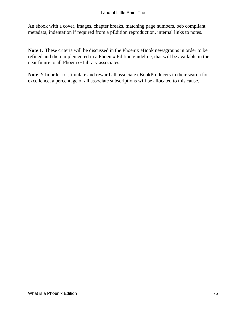An ebook with a cover, images, chapter breaks, matching page numbers, oeb compliant metadata, indentation if required from a pEdition reproduction, internal links to notes.

**Note 1:** These criteria will be discussed in the Phoenix eBook newsgroups in order to be refined and then implemented in a Phoenix Edition guideline, that will be available in the near future to all Phoenix−Library associates.

**Note 2:** In order to stimulate and reward all associate eBookProducers in their search for excellence, a percentage of all associate subscriptions will be allocated to this cause.